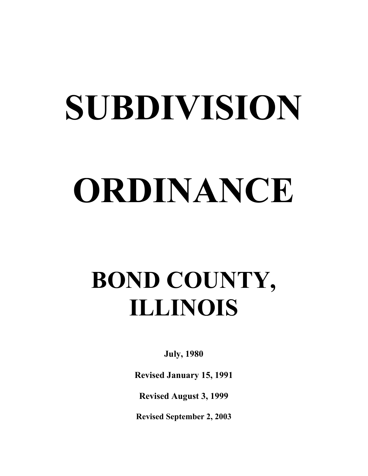# SUBDIVISION ORDINANCE

# BOND COUNTY, ILLINOIS

July, 1980

Revised January 15, 1991

Revised August 3, 1999

Revised September 2, 2003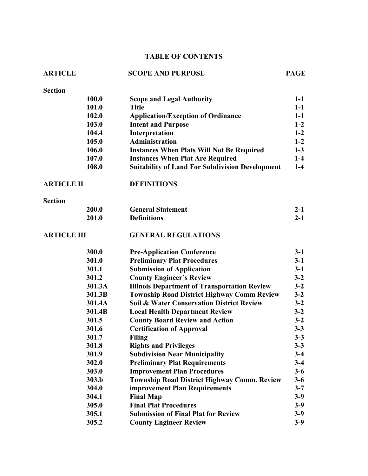#### TABLE OF CONTENTS

| <b>ARTICLE</b>     |        | <b>SCOPE AND PURPOSE</b>                               | <b>PAGE</b> |
|--------------------|--------|--------------------------------------------------------|-------------|
| <b>Section</b>     |        |                                                        |             |
|                    | 100.0  | <b>Scope and Legal Authority</b>                       | $1-1$       |
|                    | 101.0  | <b>Title</b>                                           | $1 - 1$     |
|                    | 102.0  | <b>Application/Exception of Ordinance</b>              | $1-1$       |
|                    | 103.0  | <b>Intent and Purpose</b>                              | $1-2$       |
|                    | 104.4  | Interpretation                                         | $1-2$       |
|                    | 105.0  | <b>Administration</b>                                  | $1-2$       |
|                    | 106.0  | <b>Instances When Plats Will Not Be Required</b>       | $1-3$       |
|                    | 107.0  | <b>Instances When Plat Are Required</b>                | $1-4$       |
|                    | 108.0  | <b>Suitability of Land For Subdivision Development</b> | $1-4$       |
| <b>ARTICLE II</b>  |        | <b>DEFINITIONS</b>                                     |             |
| <b>Section</b>     |        |                                                        |             |
|                    | 200.0  | <b>General Statement</b>                               | $2 - 1$     |
|                    | 201.0  | <b>Definitions</b>                                     | $2 - 1$     |
| <b>ARTICLE III</b> |        | <b>GENERAL REGULATIONS</b>                             |             |
|                    | 300.0  | <b>Pre-Application Conference</b>                      | $3-1$       |
|                    | 301.0  | <b>Preliminary Plat Procedures</b>                     | $3-1$       |
|                    | 301.1  | <b>Submission of Application</b>                       | $3-1$       |
|                    | 301.2  | <b>County Engineer's Review</b>                        | $3 - 2$     |
|                    | 301.3A | <b>Illinois Department of Transportation Review</b>    | $3-2$       |
|                    | 301.3B | <b>Township Road District Highway Comm Review</b>      | $3 - 2$     |
|                    | 301.4A | <b>Soil &amp; Water Conservation District Review</b>   | $3-2$       |
|                    | 301.4B | <b>Local Health Department Review</b>                  | $3 - 2$     |
|                    | 301.5  | <b>County Board Review and Action</b>                  | $3 - 2$     |
|                    | 301.6  | <b>Certification of Approval</b>                       | $3 - 3$     |
|                    | 301.7  | <b>Filing</b>                                          | $3 - 3$     |
|                    | 301.8  | <b>Rights and Privileges</b>                           | $3 - 3$     |
|                    | 301.9  | <b>Subdivision Near Municipality</b>                   | $3-4$       |
|                    | 302.0  | <b>Preliminary Plat Requirements</b>                   | $3-4$       |
|                    | 303.0  | <b>Improvement Plan Procedures</b>                     | $3-6$       |
|                    | 303.b  | <b>Township Road District Highway Comm. Review</b>     | $3-6$       |
|                    | 304.0  | <b>improvement Plan Requirements</b>                   | $3 - 7$     |
|                    | 304.1  | <b>Final Map</b>                                       | $3-9$       |
|                    | 305.0  | <b>Final Plat Procedures</b>                           | $3-9$       |
|                    | 305.1  | <b>Submission of Final Plat for Review</b>             | $3-9$       |
|                    | 305.2  | <b>County Engineer Review</b>                          | $3-9$       |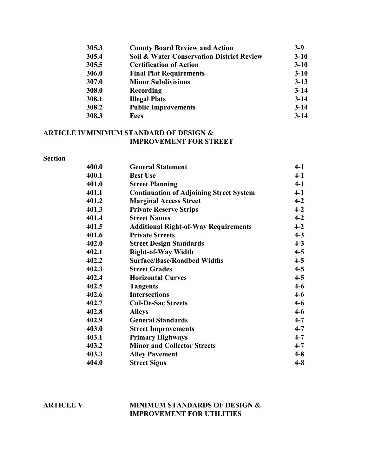| 305.3 | <b>County Board Review and Action</b>                | $3-9$    |
|-------|------------------------------------------------------|----------|
| 305.4 | <b>Soil &amp; Water Conservation District Review</b> | $3 - 10$ |
| 305.5 | <b>Certification of Action</b>                       | $3 - 10$ |
| 306.0 | <b>Final Plat Requirements</b>                       | $3 - 10$ |
| 307.0 | <b>Minor Subdivisions</b>                            | $3 - 13$ |
| 308.0 | Recording                                            | $3-14$   |
| 308.1 | <b>Illegal Plats</b>                                 | $3 - 14$ |
| 308.2 | <b>Public Improvements</b>                           | $3 - 14$ |
| 308.3 | <b>Fees</b>                                          | $3 - 14$ |
|       |                                                      |          |

#### ARTICLE IV MINIMUM STANDARD OF DESIGN & IMPROVEMENT FOR STREET

#### Section

| 400.0 | <b>General Statement</b>                       | $4-1$   |
|-------|------------------------------------------------|---------|
| 400.1 | <b>Best Use</b>                                | $4-1$   |
| 401.0 | <b>Street Planning</b>                         | $4-1$   |
| 401.1 | <b>Continuation of Adjoining Street System</b> | 4-1     |
| 401.2 | <b>Marginal Access Street</b>                  | $4 - 2$ |
| 401.3 | <b>Private Reserve Strips</b>                  | $4 - 2$ |
| 401.4 | <b>Street Names</b>                            | $4 - 2$ |
| 401.5 | <b>Additional Right-of-Way Requirements</b>    | $4 - 2$ |
| 401.6 | <b>Private Streets</b>                         | $4 - 3$ |
| 402.0 | <b>Street Design Standards</b>                 | $4 - 3$ |
| 402.1 | <b>Right-of-Way Width</b>                      | $4 - 5$ |
| 402.2 | <b>Surface/Base/Roadbed Widths</b>             | $4 - 5$ |
| 402.3 | <b>Street Grades</b>                           | $4 - 5$ |
| 402.4 | <b>Horizontal Curves</b>                       | $4 - 5$ |
| 402.5 | <b>Tangents</b>                                | $4-6$   |
| 402.6 | <b>Intersections</b>                           | $4 - 6$ |
| 402.7 | <b>Cul-De-Sac Streets</b>                      | $4 - 6$ |
| 402.8 | <b>Alleys</b>                                  | $4-6$   |
| 402.9 | <b>General Standards</b>                       | $4 - 7$ |
| 403.0 | <b>Street Improvements</b>                     | $4 - 7$ |
| 403.1 | <b>Primary Highways</b>                        | $4 - 7$ |
| 403.2 | <b>Minor and Collector Streets</b>             | $4 - 7$ |
| 403.3 | <b>Alley Pavement</b>                          | $4 - 8$ |
| 404.0 | <b>Street Signs</b>                            | $4 - 8$ |

#### ARTICLE V MINIMUM STANDARDS OF DESIGN & IMPROVEMENT FOR UTILITIES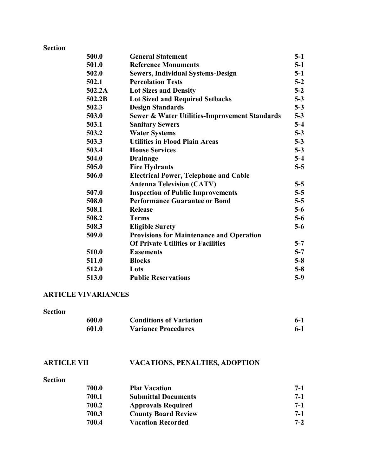#### Section

| 500.0  | <b>General Statement</b>                        | $5-1$   |
|--------|-------------------------------------------------|---------|
| 501.0  | <b>Reference Monuments</b>                      | $5-1$   |
| 502.0  | <b>Sewers, Individual Systems-Design</b>        | $5-1$   |
| 502.1  | <b>Percolation Tests</b>                        | $5-2$   |
| 502.2A | <b>Lot Sizes and Density</b>                    | $5-2$   |
| 502.2B | <b>Lot Sized and Required Setbacks</b>          | $5 - 3$ |
| 502.3  | <b>Design Standards</b>                         | $5 - 3$ |
| 503.0  | Sewer & Water Utilities-Improvement Standards   | $5 - 3$ |
| 503.1  | <b>Sanitary Sewers</b>                          | $5-4$   |
| 503.2  | <b>Water Systems</b>                            | $5-3$   |
| 503.3  | <b>Utilities in Flood Plain Areas</b>           | $5 - 3$ |
| 503.4  | <b>House Services</b>                           | $5 - 3$ |
| 504.0  | <b>Drainage</b>                                 | $5-4$   |
| 505.0  | <b>Fire Hydrants</b>                            | $5-5$   |
| 506.0  | <b>Electrical Power, Telephone and Cable</b>    |         |
|        | <b>Antenna Television (CATV)</b>                | $5 - 5$ |
| 507.0  | <b>Inspection of Public Improvements</b>        | $5 - 5$ |
| 508.0  | <b>Performance Guarantee or Bond</b>            | $5 - 5$ |
| 508.1  | <b>Release</b>                                  | $5-6$   |
| 508.2  | <b>Terms</b>                                    | $5-6$   |
| 508.3  | <b>Eligible Surety</b>                          | $5-6$   |
| 509.0  | <b>Provisions for Maintenance and Operation</b> |         |
|        | <b>Of Private Utilities or Facilities</b>       | $5 - 7$ |
| 510.0  | <b>Easements</b>                                | $5 - 7$ |
| 511.0  | <b>Blocks</b>                                   | $5 - 8$ |
| 512.0  | Lots                                            | $5 - 8$ |
| 513.0  | <b>Public Reservations</b>                      | $5-9$   |
|        |                                                 |         |

#### ARTICLE VI VARIANCES

#### Section

| 600.0 | <b>Conditions of Variation</b> | $6-1$ |
|-------|--------------------------------|-------|
| 601.0 | <b>Variance Procedures</b>     | $6-1$ |

### ARTICLE VII VACATIONS, PENALTIES, ADOPTION

#### Section

| 700.0 | <b>Plat Vacation</b>       | $7-1$ |
|-------|----------------------------|-------|
| 700.1 | <b>Submittal Documents</b> | $7-1$ |
| 700.2 | <b>Approvals Required</b>  | $7-1$ |
| 700.3 | <b>County Board Review</b> | $7-1$ |
| 700.4 | <b>Vacation Recorded</b>   | $7-2$ |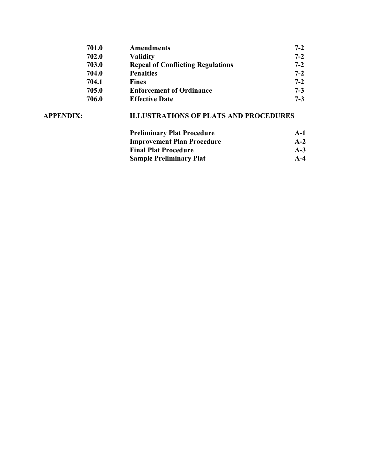| 701.0 | <b>Amendments</b>                        | $7 - 2$ |
|-------|------------------------------------------|---------|
| 702.0 | <b>Validity</b>                          | $7 - 2$ |
| 703.0 | <b>Repeal of Conflicting Regulations</b> | $7 - 2$ |
| 704.0 | <b>Penalties</b>                         | $7 - 2$ |
| 704.1 | <b>Fines</b>                             | $7 - 2$ |
| 705.0 | <b>Enforcement of Ordinance</b>          | $7 - 3$ |
| 706.0 | <b>Effective Date</b>                    | $7 - 3$ |

## APPENDIX: ILLUSTRATIONS OF PLATS AND PROCEDURES

| <b>Preliminary Plat Procedure</b> | $A-1$ |
|-----------------------------------|-------|
| <b>Improvement Plan Procedure</b> | $A-2$ |
| <b>Final Plat Procedure</b>       | $A-3$ |
| <b>Sample Preliminary Plat</b>    | $A-4$ |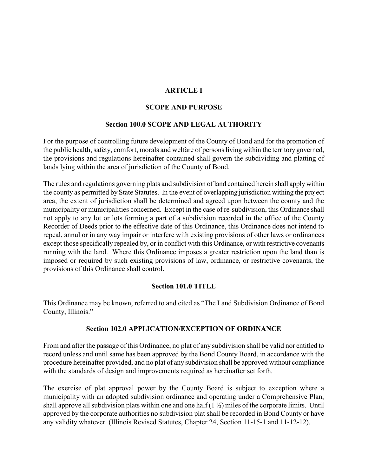#### ARTICLE I

#### SCOPE AND PURPOSE

#### Section 100.0 SCOPE AND LEGAL AUTHORITY

For the purpose of controlling future development of the County of Bond and for the promotion of the public health, safety, comfort, morals and welfare of persons living within the territory governed, the provisions and regulations hereinafter contained shall govern the subdividing and platting of lands lying within the area of jurisdiction of the County of Bond.

The rules and regulations governing plats and subdivision of land contained herein shall apply within the county as permitted by State Statutes. In the event of overlapping jurisdiction withing the project area, the extent of jurisdiction shall be determined and agreed upon between the county and the municipality or municipalities concerned. Except in the case of re-subdivision, this Ordinance shall not apply to any lot or lots forming a part of a subdivision recorded in the office of the County Recorder of Deeds prior to the effective date of this Ordinance, this Ordinance does not intend to repeal, annul or in any way impair or interfere with existing provisions of other laws or ordinances except those specifically repealed by, or in conflict with this Ordinance, or with restrictive covenants running with the land. Where this Ordinance imposes a greater restriction upon the land than is imposed or required by such existing provisions of law, ordinance, or restrictive covenants, the provisions of this Ordinance shall control.

#### Section 101.0 TITLE

This Ordinance may be known, referred to and cited as "The Land Subdivision Ordinance of Bond County, Illinois."

#### Section 102.0 APPLICATION/EXCEPTION OF ORDINANCE

From and after the passage of this Ordinance, no plat of any subdivision shall be valid nor entitled to record unless and until same has been approved by the Bond County Board, in accordance with the procedure hereinafter provided, and no plat of any subdivision shall be approved without compliance with the standards of design and improvements required as hereinafter set forth.

The exercise of plat approval power by the County Board is subject to exception where a municipality with an adopted subdivision ordinance and operating under a Comprehensive Plan, shall approve all subdivision plats within one and one half  $(1 \frac{1}{2})$  miles of the corporate limits. Until approved by the corporate authorities no subdivision plat shall be recorded in Bond County or have any validity whatever. (Illinois Revised Statutes, Chapter 24, Section 11-15-1 and 11-12-12).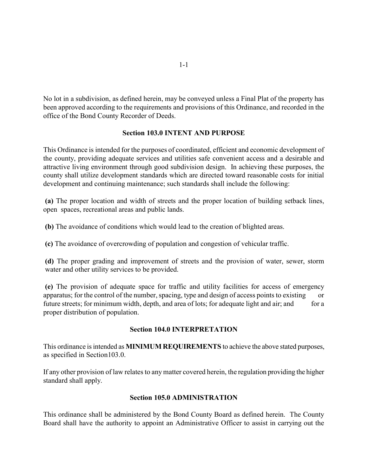No lot in a subdivision, as defined herein, may be conveyed unless a Final Plat of the property has been approved according to the requirements and provisions of this Ordinance, and recorded in the office of the Bond County Recorder of Deeds.

#### Section 103.0 INTENT AND PURPOSE

This Ordinance is intended for the purposes of coordinated, efficient and economic development of the county, providing adequate services and utilities safe convenient access and a desirable and attractive living environment through good subdivision design. In achieving these purposes, the county shall utilize development standards which are directed toward reasonable costs for initial development and continuing maintenance; such standards shall include the following:

(a) The proper location and width of streets and the proper location of building setback lines, open spaces, recreational areas and public lands.

(b) The avoidance of conditions which would lead to the creation of blighted areas.

(c) The avoidance of overcrowding of population and congestion of vehicular traffic.

(d) The proper grading and improvement of streets and the provision of water, sewer, storm water and other utility services to be provided.

(e) The provision of adequate space for traffic and utility facilities for access of emergency apparatus; for the control of the number, spacing, type and design of access points to existing or future streets; for minimum width, depth, and area of lots; for adequate light and air; and for a proper distribution of population.

#### Section 104.0 INTERPRETATION

This ordinance is intended as MINIMUM REQUIREMENTS to achieve the above stated purposes, as specified in Section103.0.

If any other provision of law relates to any matter covered herein, the regulation providing the higher standard shall apply.

#### Section 105.0 ADMINISTRATION

This ordinance shall be administered by the Bond County Board as defined herein. The County Board shall have the authority to appoint an Administrative Officer to assist in carrying out the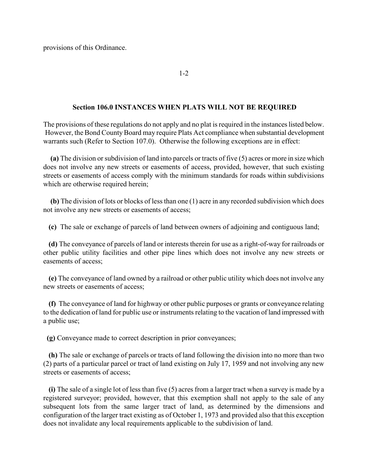provisions of this Ordinance.

1-2

#### Section 106.0 INSTANCES WHEN PLATS WILL NOT BE REQUIRED

The provisions of these regulations do not apply and no plat is required in the instances listed below. However, the Bond County Board may require Plats Act compliance when substantial development warrants such (Refer to Section 107.0). Otherwise the following exceptions are in effect:

 (a) The division or subdivision of land into parcels or tracts of five (5) acres or more in size which does not involve any new streets or easements of access, provided, however, that such existing streets or easements of access comply with the minimum standards for roads within subdivisions which are otherwise required herein;

 (b) The division of lots or blocks of less than one (1) acre in any recorded subdivision which does not involve any new streets or easements of access;

(c) The sale or exchange of parcels of land between owners of adjoining and contiguous land;

 (d) The conveyance of parcels of land or interests therein for use as a right-of-way for railroads or other public utility facilities and other pipe lines which does not involve any new streets or easements of access;

 (e) The conveyance of land owned by a railroad or other public utility which does not involve any new streets or easements of access;

 (f) The conveyance of land for highway or other public purposes or grants or conveyance relating to the dedication of land for public use or instruments relating to the vacation of land impressed with a public use;

(g) Conveyance made to correct description in prior conveyances;

 (h) The sale or exchange of parcels or tracts of land following the division into no more than two (2) parts of a particular parcel or tract of land existing on July 17, 1959 and not involving any new streets or easements of access;

 (i) The sale of a single lot of less than five (5) acres from a larger tract when a survey is made by a registered surveyor; provided, however, that this exemption shall not apply to the sale of any subsequent lots from the same larger tract of land, as determined by the dimensions and configuration of the larger tract existing as of October 1, 1973 and provided also that this exception does not invalidate any local requirements applicable to the subdivision of land.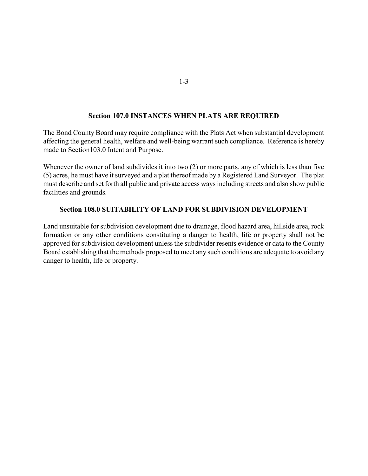#### Section 107.0 INSTANCES WHEN PLATS ARE REQUIRED

The Bond County Board may require compliance with the Plats Act when substantial development affecting the general health, welfare and well-being warrant such compliance. Reference is hereby made to Section103.0 Intent and Purpose.

Whenever the owner of land subdivides it into two (2) or more parts, any of which is less than five (5) acres, he must have it surveyed and a plat thereof made by a Registered Land Surveyor. The plat must describe and set forth all public and private access ways including streets and also show public facilities and grounds.

#### Section 108.0 SUITABILITY OF LAND FOR SUBDIVISION DEVELOPMENT

Land unsuitable for subdivision development due to drainage, flood hazard area, hillside area, rock formation or any other conditions constituting a danger to health, life or property shall not be approved for subdivision development unless the subdivider resents evidence or data to the County Board establishing that the methods proposed to meet any such conditions are adequate to avoid any danger to health, life or property.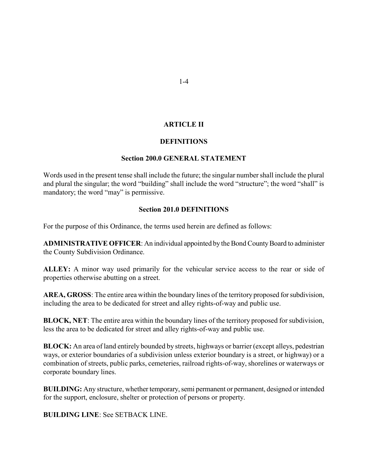#### ARTICLE II

#### **DEFINITIONS**

#### Section 200.0 GENERAL STATEMENT

Words used in the present tense shall include the future; the singular number shall include the plural and plural the singular; the word "building" shall include the word "structure"; the word "shall" is mandatory; the word "may" is permissive.

#### Section 201.0 DEFINITIONS

For the purpose of this Ordinance, the terms used herein are defined as follows:

ADMINISTRATIVE OFFICER: An individual appointed by the Bond County Board to administer the County Subdivision Ordinance.

ALLEY: A minor way used primarily for the vehicular service access to the rear or side of properties otherwise abutting on a street.

AREA, GROSS: The entire area within the boundary lines of the territory proposed for subdivision, including the area to be dedicated for street and alley rights-of-way and public use.

BLOCK, NET: The entire area within the boundary lines of the territory proposed for subdivision, less the area to be dedicated for street and alley rights-of-way and public use.

BLOCK: An area of land entirely bounded by streets, highways or barrier (except alleys, pedestrian ways, or exterior boundaries of a subdivision unless exterior boundary is a street, or highway) or a combination of streets, public parks, cemeteries, railroad rights-of-way, shorelines or waterways or corporate boundary lines.

BUILDING: Any structure, whether temporary, semi permanent or permanent, designed or intended for the support, enclosure, shelter or protection of persons or property.

BUILDING LINE: See SETBACK LINE.

1-4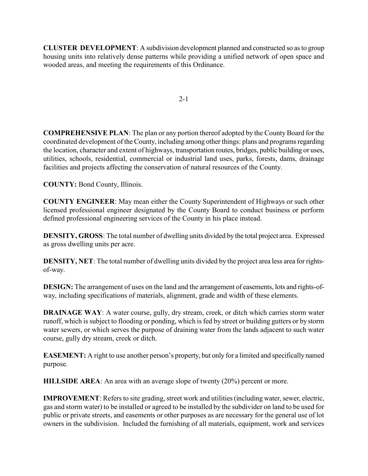CLUSTER DEVELOPMENT: A subdivision development planned and constructed so as to group housing units into relatively dense patterns while providing a unified network of open space and wooded areas, and meeting the requirements of this Ordinance.

2-1

COMPREHENSIVE PLAN: The plan or any portion thereof adopted by the County Board for the coordinated development of the County, including among other things: plans and programs regarding the location, character and extent of highways, transportation routes, bridges, public building or uses, utilities, schools, residential, commercial or industrial land uses, parks, forests, dams, drainage facilities and projects affecting the conservation of natural resources of the County.

COUNTY: Bond County, Illinois.

COUNTY ENGINEER: May mean either the County Superintendent of Highways or such other licensed professional engineer designated by the County Board to conduct business or perform defined professional engineering services of the County in his place instead.

DENSITY, GROSS: The total number of dwelling units divided by the total project area. Expressed as gross dwelling units per acre.

DENSITY, NET: The total number of dwelling units divided by the project area less area for rightsof-way.

DESIGN: The arrangement of uses on the land and the arrangement of easements, lots and rights-ofway, including specifications of materials, alignment, grade and width of these elements.

DRAINAGE WAY: A water course, gully, dry stream, creek, or ditch which carries storm water runoff, which is subject to flooding or ponding, which is fed by street or building gutters or by storm water sewers, or which serves the purpose of draining water from the lands adjacent to such water course, gully dry stream, creek or ditch.

EASEMENT: A right to use another person's property, but only for a limited and specifically named purpose.

HILLSIDE AREA: An area with an average slope of twenty (20%) percent or more.

IMPROVEMENT: Refers to site grading, street work and utilities (including water, sewer, electric, gas and storm water) to be installed or agreed to be installed by the subdivider on land to be used for public or private streets, and easements or other purposes as are necessary for the general use of lot owners in the subdivision. Included the furnishing of all materials, equipment, work and services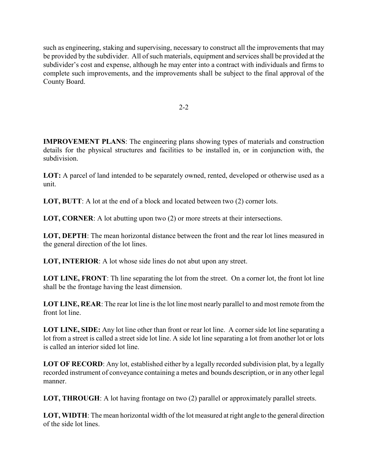such as engineering, staking and supervising, necessary to construct all the improvements that may be provided by the subdivider. All of such materials, equipment and services shall be provided at the subdivider's cost and expense, although he may enter into a contract with individuals and firms to complete such improvements, and the improvements shall be subject to the final approval of the County Board.

2-2

IMPROVEMENT PLANS: The engineering plans showing types of materials and construction details for the physical structures and facilities to be installed in, or in conjunction with, the subdivision.

LOT: A parcel of land intended to be separately owned, rented, developed or otherwise used as a unit.

LOT, BUTT: A lot at the end of a block and located between two (2) corner lots.

LOT, CORNER: A lot abutting upon two (2) or more streets at their intersections.

LOT, DEPTH: The mean horizontal distance between the front and the rear lot lines measured in the general direction of the lot lines.

LOT, INTERIOR: A lot whose side lines do not abut upon any street.

LOT LINE, FRONT: Th line separating the lot from the street. On a corner lot, the front lot line shall be the frontage having the least dimension.

LOT LINE, REAR: The rear lot line is the lot line most nearly parallel to and most remote from the front lot line.

LOT LINE, SIDE: Any lot line other than front or rear lot line. A corner side lot line separating a lot from a street is called a street side lot line. A side lot line separating a lot from another lot or lots is called an interior sided lot line.

LOT OF RECORD: Any lot, established either by a legally recorded subdivision plat, by a legally recorded instrument of conveyance containing a metes and bounds description, or in any other legal manner.

LOT, THROUGH: A lot having frontage on two (2) parallel or approximately parallel streets.

LOT, WIDTH: The mean horizontal width of the lot measured at right angle to the general direction of the side lot lines.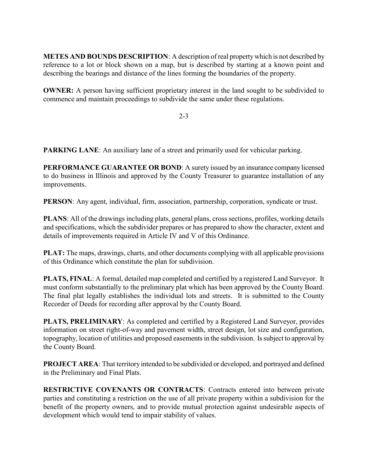METES AND BOUNDS DESCRIPTION: A description of real property which is not described by reference to a lot or block shown on a map, but is described by starting at a known point and describing the bearings and distance of the lines forming the boundaries of the property.

OWNER: A person having sufficient proprietary interest in the land sought to be subdivided to commence and maintain proceedings to subdivide the same under these regulations.

2-3

PARKING LANE: An auxiliary lane of a street and primarily used for vehicular parking.

PERFORMANCE GUARANTEE OR BOND: A surety issued by an insurance company licensed to do business in Illinois and approved by the County Treasurer to guarantee installation of any improvements.

PERSON: Any agent, individual, firm, association, partnership, corporation, syndicate or trust.

PLANS: All of the drawings including plats, general plans, cross sections, profiles, working details and specifications, which the subdivider prepares or has prepared to show the character, extent and details of improvements required in Article IV and V of this Ordinance.

PLAT: The maps, drawings, charts, and other documents complying with all applicable provisions of this Ordinance which constitute the plan for subdivision.

PLATS, FINAL: A formal, detailed map completed and certified by a registered Land Surveyor. It must conform substantially to the preliminary plat which has been approved by the County Board. The final plat legally establishes the individual lots and streets. It is submitted to the County Recorder of Deeds for recording after approval by the County Board.

PLATS, PRELIMINARY: As completed and certified by a Registered Land Surveyor, provides information on street right-of-way and pavement width, street design, lot size and configuration, topography, location of utilities and proposed easements in the subdivision. Is subject to approval by the County Board.

PROJECT AREA: That territory intended to be subdivided or developed, and portrayed and defined in the Preliminary and Final Plats.

RESTRICTIVE COVENANTS OR CONTRACTS: Contracts entered into between private parties and constituting a restriction on the use of all private property within a subdivision for the benefit of the property owners, and to provide mutual protection against undesirable aspects of development which would tend to impair stability of values.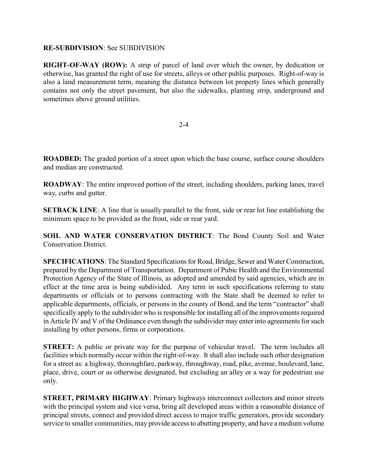#### RE-SUBDIVISION: See SUBDIVISION

RIGHT-OF-WAY (ROW): A strip of parcel of land over which the owner, by dedication or otherwise, has granted the right of use for streets, alleys or other public purposes. Right-of-way is also a land measurement term, meaning the distance between lot property lines which generally contains not only the street pavement, but also the sidewalks, planting strip, underground and sometimes above ground utilities.

#### 2-4

ROADBED: The graded portion of a street upon which the base course, surface course shoulders and median are constructed.

ROADWAY: The entire improved portion of the street, including shoulders, parking lanes, travel way, curbs and gutter.

SETBACK LINE: A line that is usually parallel to the front, side or rear lot line establishing the minimum space to be provided as the front, side or rear yard.

SOIL AND WATER CONSERVATION DISTRICT: The Bond County Soil and Water Conservation District.

SPECIFICATIONS: The Standard Specifications for Road, Bridge, Sewer and Water Construction, prepared by the Department of Transportation. Department of Pubic Health and the Environmental Protection Agency of the State of Illinois, as adopted and amended by said agencies, which are in effect at the time area is being subdivided. Any term in such specifications referring to state departments or officials or to persons contracting with the State shall be deemed to refer to applicable departments, officials, or persons in the county of Bond, and the term "contractor" shall specifically apply to the subdivider who is responsible for installing all of the improvements required in Article IV and V of the Ordinance even though the subdivider may enter into agreements for such installing by other persons, firms or corporations.

STREET: A public or private way for the purpose of vehicular travel. The term includes all facilities which normally occur within the right-of-way. It shall also include such other designation for a street as: a highway, thoroughfare, parkway, throughway, road, pike, avenue, boulevard, lane, place, drive, court or as otherwise designated, but excluding an alley or a way for pedestrian use only.

STREET, PRIMARY HIGHWAY: Primary highways interconnect collectors and minor streets with the principal system and vice versa, bring all developed areas within a reasonable distance of principal streets, connect and provided direct access to major traffic generators, provide secondary service to smaller communities, may provide access to abutting property, and have a medium volume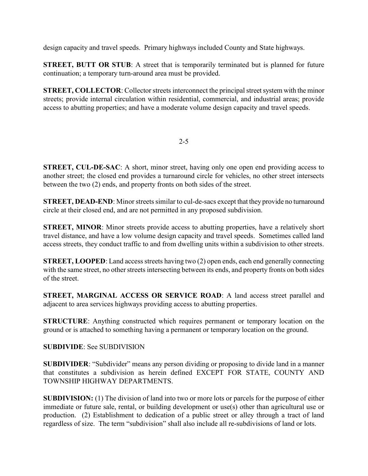design capacity and travel speeds. Primary highways included County and State highways.

STREET, BUTT OR STUB: A street that is temporarily terminated but is planned for future continuation; a temporary turn-around area must be provided.

STREET, COLLECTOR: Collector streets interconnect the principal street system with the minor streets; provide internal circulation within residential, commercial, and industrial areas; provide access to abutting properties; and have a moderate volume design capacity and travel speeds.

#### 2-5

STREET, CUL-DE-SAC: A short, minor street, having only one open end providing access to another street; the closed end provides a turnaround circle for vehicles, no other street intersects between the two (2) ends, and property fronts on both sides of the street.

STREET, DEAD-END: Minor streets similar to cul-de-sacs except that they provide no turnaround circle at their closed end, and are not permitted in any proposed subdivision.

STREET, MINOR: Minor streets provide access to abutting properties, have a relatively short travel distance, and have a low volume design capacity and travel speeds. Sometimes called land access streets, they conduct traffic to and from dwelling units within a subdivision to other streets.

STREET, LOOPED: Land access streets having two (2) open ends, each end generally connecting with the same street, no other streets intersecting between its ends, and property fronts on both sides of the street.

STREET, MARGINAL ACCESS OR SERVICE ROAD: A land access street parallel and adjacent to area services highways providing access to abutting properties.

STRUCTURE: Anything constructed which requires permanent or temporary location on the ground or is attached to something having a permanent or temporary location on the ground.

#### SUBDIVIDE: See SUBDIVISION

SUBDIVIDER: "Subdivider" means any person dividing or proposing to divide land in a manner that constitutes a subdivision as herein defined EXCEPT FOR STATE, COUNTY AND TOWNSHIP HIGHWAY DEPARTMENTS.

SUBDIVISION: (1) The division of land into two or more lots or parcels for the purpose of either immediate or future sale, rental, or building development or use(s) other than agricultural use or production. (2) Establishment to dedication of a public street or alley through a tract of land regardless of size. The term "subdivision" shall also include all re-subdivisions of land or lots.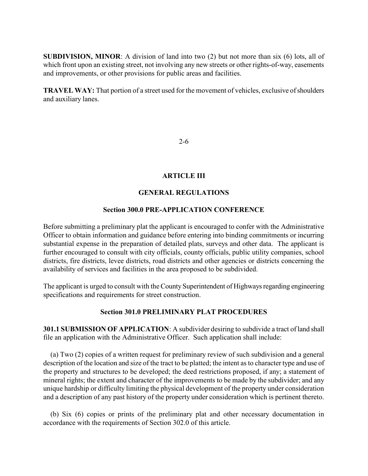SUBDIVISION, MINOR: A division of land into two (2) but not more than six (6) lots, all of which front upon an existing street, not involving any new streets or other rights-of-way, easements and improvements, or other provisions for public areas and facilities.

TRAVEL WAY: That portion of a street used for the movement of vehicles, exclusive of shoulders and auxiliary lanes.

2-6

#### ARTICLE III

#### GENERAL REGULATIONS

#### Section 300.0 PRE-APPLICATION CONFERENCE

Before submitting a preliminary plat the applicant is encouraged to confer with the Administrative Officer to obtain information and guidance before entering into binding commitments or incurring substantial expense in the preparation of detailed plats, surveys and other data. The applicant is further encouraged to consult with city officials, county officials, public utility companies, school districts, fire districts, levee districts, road districts and other agencies or districts concerning the availability of services and facilities in the area proposed to be subdivided.

The applicant is urged to consult with the County Superintendent of Highways regarding engineering specifications and requirements for street construction.

#### Section 301.0 PRELIMINARY PLAT PROCEDURES

301.1 SUBMISSION OF APPLICATION: A subdivider desiring to subdivide a tract of land shall file an application with the Administrative Officer. Such application shall include:

 (a) Two (2) copies of a written request for preliminary review of such subdivision and a general description of the location and size of the tract to be platted; the intent as to character type and use of the property and structures to be developed; the deed restrictions proposed, if any; a statement of mineral rights; the extent and character of the improvements to be made by the subdivider; and any unique hardship or difficulty limiting the physical development of the property under consideration and a description of any past history of the property under consideration which is pertinent thereto.

 (b) Six (6) copies or prints of the preliminary plat and other necessary documentation in accordance with the requirements of Section 302.0 of this article.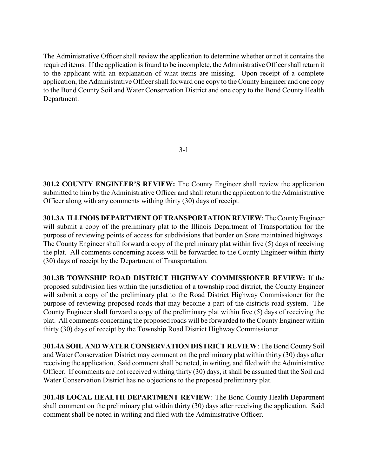The Administrative Officer shall review the application to determine whether or not it contains the required items. If the application is found to be incomplete, the Administrative Officer shall return it to the applicant with an explanation of what items are missing. Upon receipt of a complete application, the Administrative Officer shall forward one copy to the County Engineer and one copy to the Bond County Soil and Water Conservation District and one copy to the Bond County Health Department.

3-1

301.2 COUNTY ENGINEER'S REVIEW: The County Engineer shall review the application submitted to him by the Administrative Officer and shall return the application to the Administrative Officer along with any comments withing thirty (30) days of receipt.

301.3A ILLINOIS DEPARTMENT OF TRANSPORTATION REVIEW: The County Engineer will submit a copy of the preliminary plat to the Illinois Department of Transportation for the purpose of reviewing points of access for subdivisions that border on State maintained highways. The County Engineer shall forward a copy of the preliminary plat within five (5) days of receiving the plat. All comments concerning access will be forwarded to the County Engineer within thirty (30) days of receipt by the Department of Transportation.

301.3B TOWNSHIP ROAD DISTRICT HIGHWAY COMMISSIONER REVIEW: If the proposed subdivision lies within the jurisdiction of a township road district, the County Engineer will submit a copy of the preliminary plat to the Road District Highway Commissioner for the purpose of reviewing proposed roads that may become a part of the districts road system. The County Engineer shall forward a copy of the preliminary plat within five (5) days of receiving the plat. All comments concerning the proposed roads will be forwarded to the County Engineer within thirty (30) days of receipt by the Township Road District Highway Commissioner.

301.4A SOIL AND WATER CONSERVATION DISTRICT REVIEW: The Bond County Soil and Water Conservation District may comment on the preliminary plat within thirty (30) days after receiving the application. Said comment shall be noted, in writing, and filed with the Administrative Officer. If comments are not received withing thirty (30) days, it shall be assumed that the Soil and Water Conservation District has no objections to the proposed preliminary plat.

301.4B LOCAL HEALTH DEPARTMENT REVIEW: The Bond County Health Department shall comment on the preliminary plat within thirty (30) days after receiving the application. Said comment shall be noted in writing and filed with the Administrative Officer.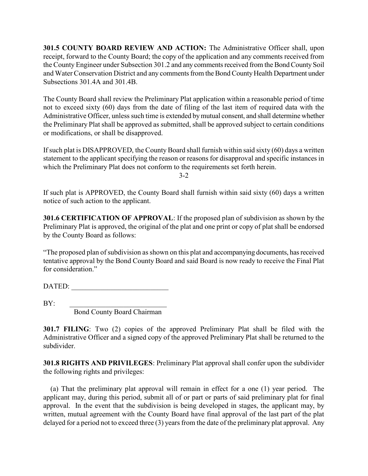301.5 COUNTY BOARD REVIEW AND ACTION: The Administrative Officer shall, upon receipt, forward to the County Board; the copy of the application and any comments received from the County Engineer under Subsection 301.2 and any comments received from the Bond County Soil and Water Conservation District and any comments from the Bond County Health Department under Subsections 301.4A and 301.4B.

The County Board shall review the Preliminary Plat application within a reasonable period of time not to exceed sixty (60) days from the date of filing of the last item of required data with the Administrative Officer, unless such time is extended by mutual consent, and shall determine whether the Preliminary Plat shall be approved as submitted, shall be approved subject to certain conditions or modifications, or shall be disapproved.

If such plat is DISAPPROVED, the County Board shall furnish within said sixty (60) days a written statement to the applicant specifying the reason or reasons for disapproval and specific instances in which the Preliminary Plat does not conform to the requirements set forth herein.

3-2

If such plat is APPROVED, the County Board shall furnish within said sixty (60) days a written notice of such action to the applicant.

301.6 CERTIFICATION OF APPROVAL: If the proposed plan of subdivision as shown by the Preliminary Plat is approved, the original of the plat and one print or copy of plat shall be endorsed by the County Board as follows:

"The proposed plan of subdivision as shown on this plat and accompanying documents, has received tentative approval by the Bond County Board and said Board is now ready to receive the Final Plat for consideration."

DATED:

 $BY:$ 

Bond County Board Chairman

301.7 FILING: Two (2) copies of the approved Preliminary Plat shall be filed with the Administrative Officer and a signed copy of the approved Preliminary Plat shall be returned to the subdivider.

301.8 RIGHTS AND PRIVILEGES: Preliminary Plat approval shall confer upon the subdivider the following rights and privileges:

 (a) That the preliminary plat approval will remain in effect for a one (1) year period. The applicant may, during this period, submit all of or part or parts of said preliminary plat for final approval. In the event that the subdivision is being developed in stages, the applicant may, by written, mutual agreement with the County Board have final approval of the last part of the plat delayed for a period not to exceed three (3) years from the date of the preliminary plat approval. Any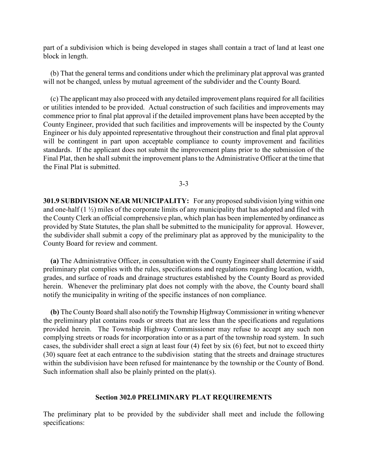part of a subdivision which is being developed in stages shall contain a tract of land at least one block in length.

 (b) That the general terms and conditions under which the preliminary plat approval was granted will not be changed, unless by mutual agreement of the subdivider and the County Board.

 (c) The applicant may also proceed with any detailed improvement plans required for all facilities or utilities intended to be provided. Actual construction of such facilities and improvements may commence prior to final plat approval if the detailed improvement plans have been accepted by the County Engineer, provided that such facilities and improvements will be inspected by the County Engineer or his duly appointed representative throughout their construction and final plat approval will be contingent in part upon acceptable compliance to county improvement and facilities standards. If the applicant does not submit the improvement plans prior to the submission of the Final Plat, then he shall submit the improvement plans to the Administrative Officer at the time that the Final Plat is submitted.

3-3

301.9 SUBDIVISION NEAR MUNICIPALITY: For any proposed subdivision lying within one and one-half  $(1 \frac{1}{2})$  miles of the corporate limits of any municipality that has adopted and filed with the County Clerk an official comprehensive plan, which plan has been implemented by ordinance as provided by State Statutes, the plan shall be submitted to the municipality for approval. However, the subdivider shall submit a copy of the preliminary plat as approved by the municipality to the County Board for review and comment.

 (a) The Administrative Officer, in consultation with the County Engineer shall determine if said preliminary plat complies with the rules, specifications and regulations regarding location, width, grades, and surface of roads and drainage structures established by the County Board as provided herein. Whenever the preliminary plat does not comply with the above, the County board shall notify the municipality in writing of the specific instances of non compliance.

 (b) The County Board shall also notify the Township Highway Commissioner in writing whenever the preliminary plat contains roads or streets that are less than the specifications and regulations provided herein. The Township Highway Commissioner may refuse to accept any such non complying streets or roads for incorporation into or as a part of the township road system. In such cases, the subdivider shall erect a sign at least four (4) feet by six (6) feet, but not to exceed thirty (30) square feet at each entrance to the subdivision stating that the streets and drainage structures within the subdivision have been refused for maintenance by the township or the County of Bond. Such information shall also be plainly printed on the plat(s).

#### Section 302.0 PRELIMINARY PLAT REQUIREMENTS

The preliminary plat to be provided by the subdivider shall meet and include the following specifications: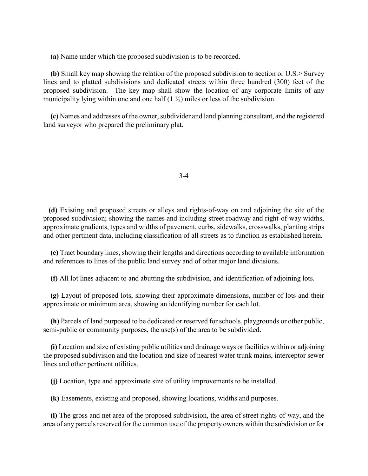(a) Name under which the proposed subdivision is to be recorded.

 (b) Small key map showing the relation of the proposed subdivision to section or U.S.> Survey lines and to platted subdivisions and dedicated streets within three hundred (300) feet of the proposed subdivision. The key map shall show the location of any corporate limits of any municipality lying within one and one half  $(1 \frac{1}{2})$  miles or less of the subdivision.

 (c) Names and addresses of the owner, subdivider and land planning consultant, and the registered land surveyor who prepared the preliminary plat.

#### 3-4

 (d) Existing and proposed streets or alleys and rights-of-way on and adjoining the site of the proposed subdivision; showing the names and including street roadway and right-of-way widths, approximate gradients, types and widths of pavement, curbs, sidewalks, crosswalks, planting strips and other pertinent data, including classification of all streets as to function as established herein.

 (e) Tract boundary lines, showing their lengths and directions according to available information and references to lines of the public land survey and of other major land divisions.

(f) All lot lines adjacent to and abutting the subdivision, and identification of adjoining lots.

 (g) Layout of proposed lots, showing their approximate dimensions, number of lots and their approximate or minimum area, showing an identifying number for each lot.

 (h) Parcels of land purposed to be dedicated or reserved for schools, playgrounds or other public, semi-public or community purposes, the use(s) of the area to be subdivided.

 (i) Location and size of existing public utilities and drainage ways or facilities within or adjoining the proposed subdivision and the location and size of nearest water trunk mains, interceptor sewer lines and other pertinent utilities.

(j) Location, type and approximate size of utility improvements to be installed.

(k) Easements, existing and proposed, showing locations, widths and purposes.

 (l) The gross and net area of the proposed subdivision, the area of street rights-of-way, and the area of any parcels reserved for the common use of the property owners within the subdivision or for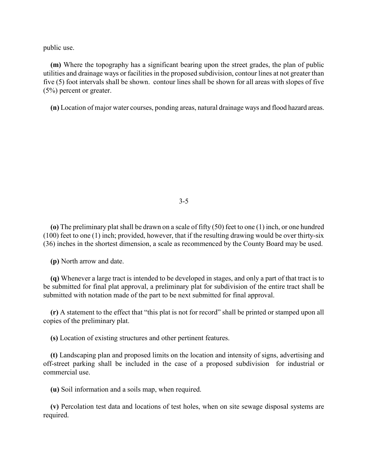public use.

 (m) Where the topography has a significant bearing upon the street grades, the plan of public utilities and drainage ways or facilities in the proposed subdivision, contour lines at not greater than five (5) foot intervals shall be shown. contour lines shall be shown for all areas with slopes of five (5%) percent or greater.

(n) Location of major water courses, ponding areas, natural drainage ways and flood hazard areas.

3-5

 (o) The preliminary plat shall be drawn on a scale of fifty (50) feet to one (1) inch, or one hundred (100) feet to one (1) inch; provided, however, that if the resulting drawing would be over thirty-six (36) inches in the shortest dimension, a scale as recommenced by the County Board may be used.

(p) North arrow and date.

 (q) Whenever a large tract is intended to be developed in stages, and only a part of that tract is to be submitted for final plat approval, a preliminary plat for subdivision of the entire tract shall be submitted with notation made of the part to be next submitted for final approval.

 (r) A statement to the effect that "this plat is not for record" shall be printed or stamped upon all copies of the preliminary plat.

(s) Location of existing structures and other pertinent features.

 (t) Landscaping plan and proposed limits on the location and intensity of signs, advertising and off-street parking shall be included in the case of a proposed subdivision for industrial or commercial use.

(u) Soil information and a soils map, when required.

 (v) Percolation test data and locations of test holes, when on site sewage disposal systems are required.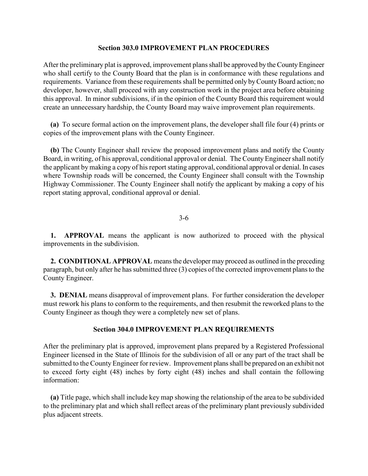#### Section 303.0 IMPROVEMENT PLAN PROCEDURES

After the preliminary plat is approved, improvement plans shall be approved by the County Engineer who shall certify to the County Board that the plan is in conformance with these regulations and requirements. Variance from these requirements shall be permitted only by County Board action; no developer, however, shall proceed with any construction work in the project area before obtaining this approval. In minor subdivisions, if in the opinion of the County Board this requirement would create an unnecessary hardship, the County Board may waive improvement plan requirements.

 (a) To secure formal action on the improvement plans, the developer shall file four (4) prints or copies of the improvement plans with the County Engineer.

 (b) The County Engineer shall review the proposed improvement plans and notify the County Board, in writing, of his approval, conditional approval or denial. The County Engineer shall notify the applicant by making a copy of his report stating approval, conditional approval or denial. In cases where Township roads will be concerned, the County Engineer shall consult with the Township Highway Commissioner. The County Engineer shall notify the applicant by making a copy of his report stating approval, conditional approval or denial.

3-6

 1. APPROVAL means the applicant is now authorized to proceed with the physical improvements in the subdivision.

 2. CONDITIONAL APPROVAL means the developer may proceed as outlined in the preceding paragraph, but only after he has submitted three (3) copies of the corrected improvement plans to the County Engineer.

 3. DENIAL means disapproval of improvement plans. For further consideration the developer must rework his plans to conform to the requirements, and then resubmit the reworked plans to the County Engineer as though they were a completely new set of plans.

#### Section 304.0 IMPROVEMENT PLAN REQUIREMENTS

After the preliminary plat is approved, improvement plans prepared by a Registered Professional Engineer licensed in the State of Illinois for the subdivision of all or any part of the tract shall be submitted to the County Engineer for review. Improvement plans shall be prepared on an exhibit not to exceed forty eight (48) inches by forty eight (48) inches and shall contain the following information:

 (a) Title page, which shall include key map showing the relationship of the area to be subdivided to the preliminary plat and which shall reflect areas of the preliminary plant previously subdivided plus adjacent streets.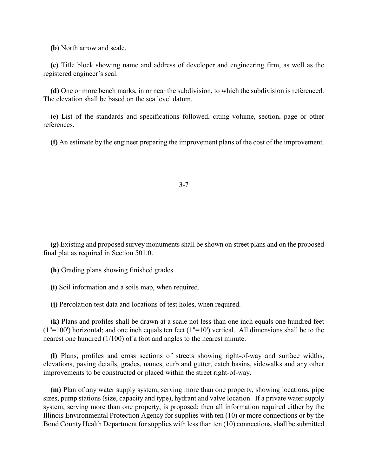(b) North arrow and scale.

 (c) Title block showing name and address of developer and engineering firm, as well as the registered engineer's seal.

 (d) One or more bench marks, in or near the subdivision, to which the subdivision is referenced. The elevation shall be based on the sea level datum.

 (e) List of the standards and specifications followed, citing volume, section, page or other references.

(f) An estimate by the engineer preparing the improvement plans of the cost of the improvement.

3-7

 (g) Existing and proposed survey monuments shall be shown on street plans and on the proposed final plat as required in Section 501.0.

(h) Grading plans showing finished grades.

(i) Soil information and a soils map, when required.

(j) Percolation test data and locations of test holes, when required.

 (k) Plans and profiles shall be drawn at a scale not less than one inch equals one hundred feet  $(1" = 100')$  horizontal; and one inch equals ten feet  $(1" = 10')$  vertical. All dimensions shall be to the nearest one hundred (1/100) of a foot and angles to the nearest minute.

 (l) Plans, profiles and cross sections of streets showing right-of-way and surface widths, elevations, paving details, grades, names, curb and gutter, catch basins, sidewalks and any other improvements to be constructed or placed within the street right-of-way.

 (m) Plan of any water supply system, serving more than one property, showing locations, pipe sizes, pump stations (size, capacity and type), hydrant and valve location. If a private water supply system, serving more than one property, is proposed; then all information required either by the Illinois Environmental Protection Agency for supplies with ten (10) or more connections or by the Bond County Health Department for supplies with less than ten (10) connections, shall be submitted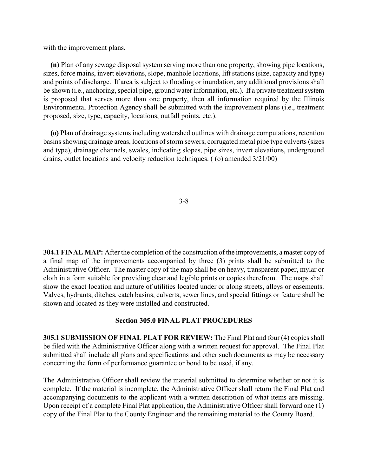with the improvement plans.

 (n) Plan of any sewage disposal system serving more than one property, showing pipe locations, sizes, force mains, invert elevations, slope, manhole locations, lift stations (size, capacity and type) and points of discharge. If area is subject to flooding or inundation, any additional provisions shall be shown (i.e., anchoring, special pipe, ground water information, etc.). If a private treatment system is proposed that serves more than one property, then all information required by the Illinois Environmental Protection Agency shall be submitted with the improvement plans (i.e., treatment proposed, size, type, capacity, locations, outfall points, etc.).

 (o) Plan of drainage systems including watershed outlines with drainage computations, retention basins showing drainage areas, locations of storm sewers, corrugated metal pipe type culverts (sizes and type), drainage channels, swales, indicating slopes, pipe sizes, invert elevations, underground drains, outlet locations and velocity reduction techniques. ( (o) amended 3/21/00)

304.1 FINAL MAP: After the completion of the construction of the improvements, a master copy of a final map of the improvements accompanied by three (3) prints shall be submitted to the Administrative Officer. The master copy of the map shall be on heavy, transparent paper, mylar or cloth in a form suitable for providing clear and legible prints or copies therefrom. The maps shall show the exact location and nature of utilities located under or along streets, alleys or easements. Valves, hydrants, ditches, catch basins, culverts, sewer lines, and special fittings or feature shall be shown and located as they were installed and constructed.

#### Section 305.0 FINAL PLAT PROCEDURES

305.1 SUBMISSION OF FINAL PLAT FOR REVIEW: The Final Plat and four (4) copies shall be filed with the Administrative Officer along with a written request for approval. The Final Plat submitted shall include all plans and specifications and other such documents as may be necessary concerning the form of performance guarantee or bond to be used, if any.

The Administrative Officer shall review the material submitted to determine whether or not it is complete. If the material is incomplete, the Administrative Officer shall return the Final Plat and accompanying documents to the applicant with a written description of what items are missing. Upon receipt of a complete Final Plat application, the Administrative Officer shall forward one (1) copy of the Final Plat to the County Engineer and the remaining material to the County Board.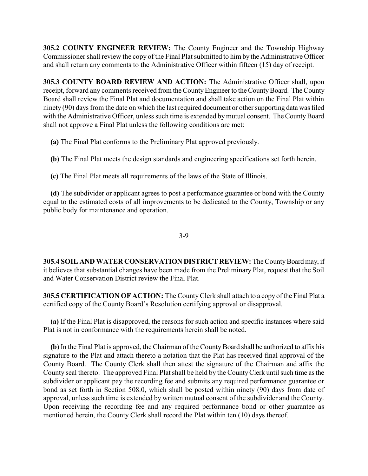305.2 COUNTY ENGINEER REVIEW: The County Engineer and the Township Highway Commissioner shall review the copy of the Final Plat submitted to him by the Administrative Officer and shall return any comments to the Administrative Officer within fifteen (15) day of receipt.

305.3 COUNTY BOARD REVIEW AND ACTION: The Administrative Officer shall, upon receipt, forward any comments received from the County Engineer to the County Board. The County Board shall review the Final Plat and documentation and shall take action on the Final Plat within ninety (90) days from the date on which the last required document or other supporting data was filed with the Administrative Officer, unless such time is extended by mutual consent. The County Board shall not approve a Final Plat unless the following conditions are met:

(a) The Final Plat conforms to the Preliminary Plat approved previously.

(b) The Final Plat meets the design standards and engineering specifications set forth herein.

(c) The Final Plat meets all requirements of the laws of the State of Illinois.

 (d) The subdivider or applicant agrees to post a performance guarantee or bond with the County equal to the estimated costs of all improvements to be dedicated to the County, Township or any public body for maintenance and operation.

3-9

305.4 SOIL AND WATER CONSERVATION DISTRICT REVIEW: The County Board may, if it believes that substantial changes have been made from the Preliminary Plat, request that the Soil and Water Conservation District review the Final Plat.

305.5 CERTIFICATION OF ACTION: The County Clerk shall attach to a copy of the Final Plat a certified copy of the County Board's Resolution certifying approval or disapproval.

 (a) If the Final Plat is disapproved, the reasons for such action and specific instances where said Plat is not in conformance with the requirements herein shall be noted.

 (b) In the Final Plat is approved, the Chairman of the County Board shall be authorized to affix his signature to the Plat and attach thereto a notation that the Plat has received final approval of the County Board. The County Clerk shall then attest the signature of the Chairman and affix the County seal thereto. The approved Final Plat shall be held by the County Clerk until such time as the subdivider or applicant pay the recording fee and submits any required performance guarantee or bond as set forth in Section 508.0, which shall be posted within ninety (90) days from date of approval, unless such time is extended by written mutual consent of the subdivider and the County. Upon receiving the recording fee and any required performance bond or other guarantee as mentioned herein, the County Clerk shall record the Plat within ten (10) days thereof.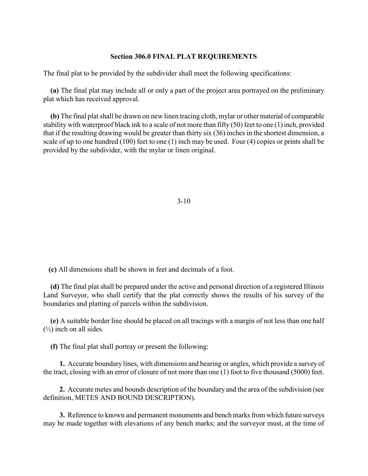#### Section 306.0 FINAL PLAT REQUIREMENTS

The final plat to be provided by the subdivider shall meet the following specifications:

 (a) The final plat may include all or only a part of the project area portrayed on the preliminary plat which has received approval.

 (b) The final plat shall be drawn on new linen tracing cloth, mylar or other material of comparable stability with waterproof black ink to a scale of not more than fifty (50) feet to one (1) inch, provided that if the resulting drawing would be greater than thirty six (36) inches in the shortest dimension, a scale of up to one hundred (100) feet to one (1) inch may be used. Four (4) copies or prints shall be provided by the subdivider, with the mylar or linen original.

#### 3-10

(c) All dimensions shall be shown in feet and decimals of a foot.

 (d) The final plat shall be prepared under the active and personal direction of a registered Illinois Land Surveyor, who shall certify that the plat correctly shows the results of his survey of the boundaries and platting of parcels within the subdivision.

 (e) A suitable border line should be placed on all tracings with a margin of not less than one half  $(\frac{1}{2})$  inch on all sides.

(f) The final plat shall portray or present the following:

 1. Accurate boundary lines, with dimensions and bearing or angles, which provide a survey of the tract, closing with an error of closure of not more than one (1) foot to five thousand (5000) feet.

 2. Accurate metes and bounds description of the boundary and the area of the subdivision (see definition, METES AND BOUND DESCRIPTION).

 3. Reference to known and permanent monuments and bench marks from which future surveys may be made together with elevations of any bench marks; and the surveyor must, at the time of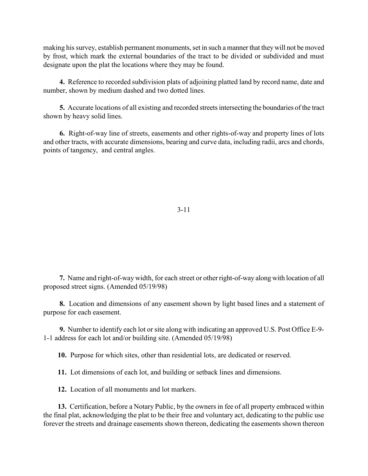making his survey, establish permanent monuments, set in such a manner that they will not be moved by frost, which mark the external boundaries of the tract to be divided or subdivided and must designate upon the plat the locations where they may be found.

 4. Reference to recorded subdivision plats of adjoining platted land by record name, date and number, shown by medium dashed and two dotted lines.

 5. Accurate locations of all existing and recorded streets intersecting the boundaries of the tract shown by heavy solid lines.

 6. Right-of-way line of streets, easements and other rights-of-way and property lines of lots and other tracts, with accurate dimensions, bearing and curve data, including radii, arcs and chords, points of tangency, and central angles.

#### 3-11

 7. Name and right-of-way width, for each street or other right-of-way along with location of all proposed street signs. (Amended 05/19/98)

 8. Location and dimensions of any easement shown by light based lines and a statement of purpose for each easement.

 9. Number to identify each lot or site along with indicating an approved U.S. Post Office E-9- 1-1 address for each lot and/or building site. (Amended 05/19/98)

10. Purpose for which sites, other than residential lots, are dedicated or reserved.

11. Lot dimensions of each lot, and building or setback lines and dimensions.

12. Location of all monuments and lot markers.

 13. Certification, before a Notary Public, by the owners in fee of all property embraced within the final plat, acknowledging the plat to be their free and voluntary act, dedicating to the public use forever the streets and drainage easements shown thereon, dedicating the easements shown thereon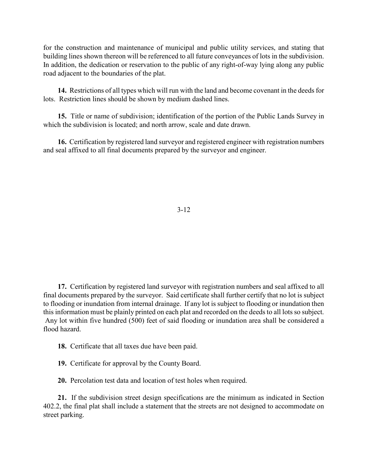for the construction and maintenance of municipal and public utility services, and stating that building lines shown thereon will be referenced to all future conveyances of lots in the subdivision. In addition, the dedication or reservation to the public of any right-of-way lying along any public road adjacent to the boundaries of the plat.

 14. Restrictions of all types which will run with the land and become covenant in the deeds for lots. Restriction lines should be shown by medium dashed lines.

 15. Title or name of subdivision; identification of the portion of the Public Lands Survey in which the subdivision is located; and north arrow, scale and date drawn.

 16. Certification by registered land surveyor and registered engineer with registration numbers and seal affixed to all final documents prepared by the surveyor and engineer.

3-12

 17. Certification by registered land surveyor with registration numbers and seal affixed to all final documents prepared by the surveyor. Said certificate shall further certify that no lot is subject to flooding or inundation from internal drainage. If any lot is subject to flooding or inundation then this information must be plainly printed on each plat and recorded on the deeds to all lots so subject. Any lot within five hundred (500) feet of said flooding or inundation area shall be considered a flood hazard.

18. Certificate that all taxes due have been paid.

19. Certificate for approval by the County Board.

20. Percolation test data and location of test holes when required.

 21. If the subdivision street design specifications are the minimum as indicated in Section 402.2, the final plat shall include a statement that the streets are not designed to accommodate on street parking.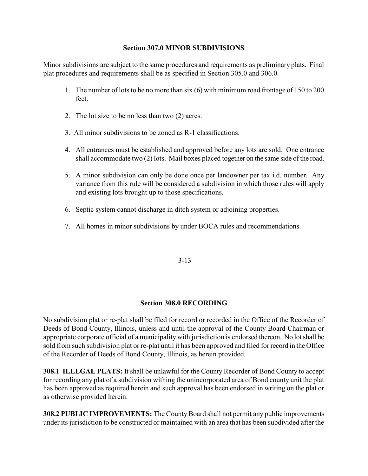#### Section 307.0 MINOR SUBDIVISIONS

Minor subdivisions are subject to the same procedures and requirements as preliminary plats. Final plat procedures and requirements shall be as specified in Section 305.0 and 306.0.

- 1. The number of lots to be no more than six (6) with minimum road frontage of 150 to 200 feet.
- 2. The lot size to be no less than two (2) acres.
- 3. All minor subdivisions to be zoned as R-1 classifications.
- 4. All entrances must be established and approved before any lots are sold. One entrance shall accommodate two (2) lots. Mail boxes placed together on the same side of the road.
- 5. A minor subdivision can only be done once per landowner per tax i.d. number. Any variance from this rule will be considered a subdivision in which those rules will apply and existing lots brought up to those specifications.
- 6. Septic system cannot discharge in ditch system or adjoining properties.
- 7. All homes in minor subdivisions by under BOCA rules and recommendations.

#### 3-13

#### Section 308.0 RECORDING

No subdivision plat or re-plat shall be filed for record or recorded in the Office of the Recorder of Deeds of Bond County, Illinois, unless and until the approval of the County Board Chairman or appropriate corporate official of a municipality with jurisdiction is endorsed thereon. No lot shall be sold from such subdivision plat or re-plat until it has been approved and filed for record in the Office of the Recorder of Deeds of Bond County, Illinois, as herein provided.

308.1 ILLEGAL PLATS: It shall be unlawful for the County Recorder of Bond County to accept for recording any plat of a subdivision withing the unincorporated area of Bond county unit the plat has been approved as required herein and such approval has been endorsed in writing on the plat or as otherwise provided herein.

308.2 PUBLIC IMPROVEMENTS: The County Board shall not permit any public improvements under its jurisdiction to be constructed or maintained with an area that has been subdivided after the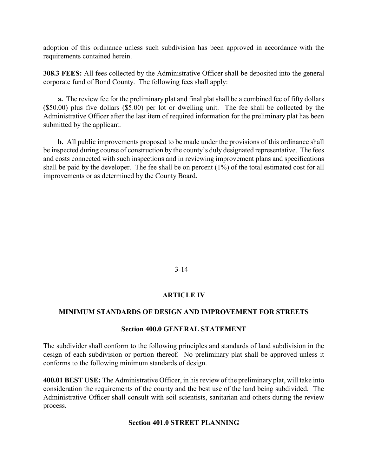adoption of this ordinance unless such subdivision has been approved in accordance with the requirements contained herein.

308.3 FEES: All fees collected by the Administrative Officer shall be deposited into the general corporate fund of Bond County. The following fees shall apply:

 a. The review fee for the preliminary plat and final plat shall be a combined fee of fifty dollars (\$50.00) plus five dollars (\$5.00) per lot or dwelling unit. The fee shall be collected by the Administrative Officer after the last item of required information for the preliminary plat has been submitted by the applicant.

 b. All public improvements proposed to be made under the provisions of this ordinance shall be inspected during course of construction by the county's duly designated representative. The fees and costs connected with such inspections and in reviewing improvement plans and specifications shall be paid by the developer. The fee shall be on percent (1%) of the total estimated cost for all improvements or as determined by the County Board.

#### 3-14

#### ARTICLE IV

#### MINIMUM STANDARDS OF DESIGN AND IMPROVEMENT FOR STREETS

#### Section 400.0 GENERAL STATEMENT

The subdivider shall conform to the following principles and standards of land subdivision in the design of each subdivision or portion thereof. No preliminary plat shall be approved unless it conforms to the following minimum standards of design.

400.01 BEST USE: The Administrative Officer, in his review of the preliminary plat, will take into consideration the requirements of the county and the best use of the land being subdivided. The Administrative Officer shall consult with soil scientists, sanitarian and others during the review process.

#### Section 401.0 STREET PLANNING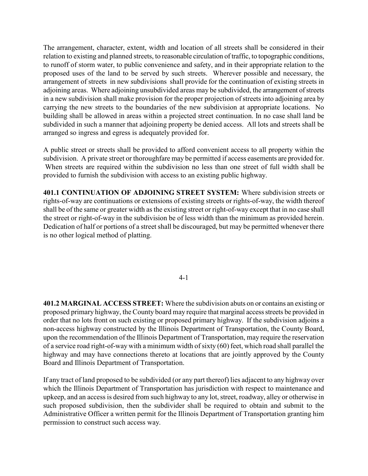The arrangement, character, extent, width and location of all streets shall be considered in their relation to existing and planned streets, to reasonable circulation of traffic, to topographic conditions, to runoff of storm water, to public convenience and safety, and in their appropriate relation to the proposed uses of the land to be served by such streets. Wherever possible and necessary, the arrangement of streets in new subdivisions shall provide for the continuation of existing streets in adjoining areas. Where adjoining unsubdivided areas may be subdivided, the arrangement of streets in a new subdivision shall make provision for the proper projection of streets into adjoining area by carrying the new streets to the boundaries of the new subdivision at appropriate locations. No building shall be allowed in areas within a projected street continuation. In no case shall land be subdivided in such a manner that adjoining property be denied access. All lots and streets shall be arranged so ingress and egress is adequately provided for.

A public street or streets shall be provided to afford convenient access to all property within the subdivision. A private street or thoroughfare may be permitted if access easements are provided for. When streets are required within the subdivision no less than one street of full width shall be provided to furnish the subdivision with access to an existing public highway.

401.1 CONTINUATION OF ADJOINING STREET SYSTEM: Where subdivision streets or rights-of-way are continuations or extensions of existing streets or rights-of-way, the width thereof shall be of the same or greater width as the existing street or right-of-way except that in no case shall the street or right-of-way in the subdivision be of less width than the minimum as provided herein. Dedication of half or portions of a street shall be discouraged, but may be permitted whenever there is no other logical method of platting.

#### 4-1

401.2 MARGINAL ACCESS STREET: Where the subdivision abuts on or contains an existing or proposed primary highway, the County board may require that marginal access streets be provided in order that no lots front on such existing or proposed primary highway. If the subdivision adjoins a non-access highway constructed by the Illinois Department of Transportation, the County Board, upon the recommendation of the Illinois Department of Transportation, may require the reservation of a service road right-of-way with a minimum width of sixty (60) feet, which road shall parallel the highway and may have connections thereto at locations that are jointly approved by the County Board and Illinois Department of Transportation.

If any tract of land proposed to be subdivided (or any part thereof) lies adjacent to any highway over which the Illinois Department of Transportation has jurisdiction with respect to maintenance and upkeep, and an access is desired from such highway to any lot, street, roadway, alley or otherwise in such proposed subdivision, then the subdivider shall be required to obtain and submit to the Administrative Officer a written permit for the Illinois Department of Transportation granting him permission to construct such access way.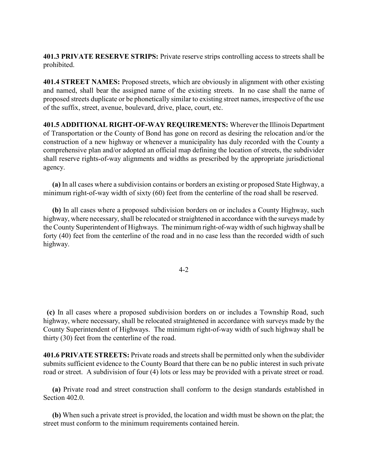401.3 PRIVATE RESERVE STRIPS: Private reserve strips controlling access to streets shall be prohibited.

401.4 STREET NAMES: Proposed streets, which are obviously in alignment with other existing and named, shall bear the assigned name of the existing streets. In no case shall the name of proposed streets duplicate or be phonetically similar to existing street names, irrespective of the use of the suffix, street, avenue, boulevard, drive, place, court, etc.

401.5 ADDITIONAL RIGHT-OF-WAY REQUIREMENTS: Wherever the Illinois Department of Transportation or the County of Bond has gone on record as desiring the relocation and/or the construction of a new highway or whenever a municipality has duly recorded with the County a comprehensive plan and/or adopted an official map defining the location of streets, the subdivider shall reserve rights-of-way alignments and widths as prescribed by the appropriate jurisdictional agency.

 (a) In all cases where a subdivision contains or borders an existing or proposed State Highway, a minimum right-of-way width of sixty (60) feet from the centerline of the road shall be reserved.

 (b) In all cases where a proposed subdivision borders on or includes a County Highway, such highway, where necessary, shall be relocated or straightened in accordance with the surveys made by the County Superintendent of Highways. The minimum right-of-way width of such highway shall be forty (40) feet from the centerline of the road and in no case less than the recorded width of such highway.

4-2

 (c) In all cases where a proposed subdivision borders on or includes a Township Road, such highway, where necessary, shall be relocated straightened in accordance with surveys made by the County Superintendent of Highways. The minimum right-of-way width of such highway shall be thirty (30) feet from the centerline of the road.

401.6 PRIVATE STREETS: Private roads and streets shall be permitted only when the subdivider submits sufficient evidence to the County Board that there can be no public interest in such private road or street. A subdivision of four (4) lots or less may be provided with a private street or road.

 (a) Private road and street construction shall conform to the design standards established in Section 402.0.

 (b) When such a private street is provided, the location and width must be shown on the plat; the street must conform to the minimum requirements contained herein.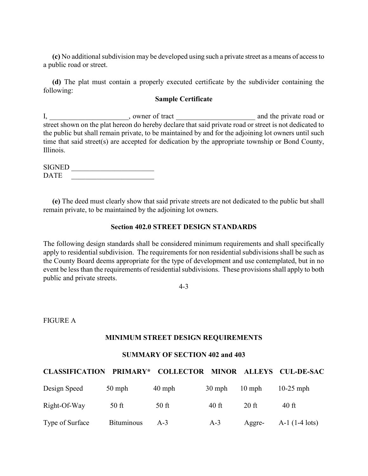(c) No additional subdivision may be developed using such a private street as a means of access to a public road or street.

 (d) The plat must contain a properly executed certificate by the subdivider containing the following:

#### Sample Certificate

I, where of tract and the private road or street shown on the plat hereon do hereby declare that said private road or street is not dedicated to the public but shall remain private, to be maintained by and for the adjoining lot owners until such time that said street(s) are accepted for dedication by the appropriate township or Bond County, Illinois.

| <b>SIGNED</b> |  |
|---------------|--|
| <b>DATE</b>   |  |

 (e) The deed must clearly show that said private streets are not dedicated to the public but shall remain private, to be maintained by the adjoining lot owners.

#### Section 402.0 STREET DESIGN STANDARDS

The following design standards shall be considered minimum requirements and shall specifically apply to residential subdivision. The requirements for non residential subdivisions shall be such as the County Board deems appropriate for the type of development and use contemplated, but in no event be less than the requirements of residential subdivisions. These provisions shall apply to both public and private streets.

4-3

#### FIGURE A

#### MINIMUM STREET DESIGN REQUIREMENTS

#### SUMMARY OF SECTION 402 and 403

| <b>CLASSIFICATION</b> |                   | PRIMARY* COLLECTOR MINOR ALLEYS CUL-DE-SAC |          |                  |                  |
|-----------------------|-------------------|--------------------------------------------|----------|------------------|------------------|
| Design Speed          | $50$ mph          | $40$ mph                                   | $30$ mph | $10 \text{ mph}$ | $10-25$ mph      |
| Right-Of-Way          | $50$ ft           | $50$ ft                                    | $40$ ft  | $20 \text{ ft}$  | $40$ ft          |
| Type of Surface       | <b>Bituminous</b> | $A-3$                                      | $A-3$    | Aggre-           | $A-1$ (1-4 lots) |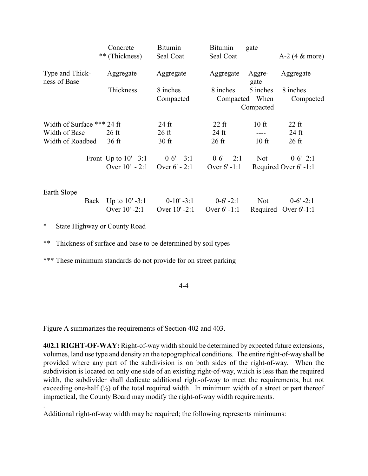|                                 |      | Concrete<br>** (Thickness) | <b>Bitumin</b><br>Seal Coat | <b>Bitumin</b><br>Seal Coat | gate            | $A-2$ (4 & more)     |
|---------------------------------|------|----------------------------|-----------------------------|-----------------------------|-----------------|----------------------|
| Type and Thick-<br>ness of Base |      | Aggregate                  | Aggregate                   | Aggregate                   | Aggre-<br>gate  | Aggregate            |
|                                 |      | Thickness                  | 8 inches                    | 8 inches                    | 5 inches        | 8 inches             |
|                                 |      |                            | Compacted                   |                             | Compacted When  | Compacted            |
|                                 |      |                            |                             |                             | Compacted       |                      |
| Width of Surface *** 24 ft      |      |                            | $24$ ft                     | $22 \text{ ft}$             | 10 <sub>f</sub> | $22$ ft              |
| Width of Base                   |      | $26$ ft                    | $26$ ft                     | $24$ ft                     | ----            | $24$ ft              |
| Width of Roadbed                |      | 36 <sub>ft</sub>           | $30$ ft                     | $26$ ft                     | 10 <sub>f</sub> | $26$ ft              |
|                                 |      | Front Up to $10' - 3:1$    | $0-6' - 3:1$                | $0-6' - 2:1$                | <b>Not</b>      | $0-6' - 2:1$         |
|                                 |      | Over $10' - 2:1$           | Over $6' - 2:1$             | Over $6' - 1:1$             |                 | Required Over 6'-1:1 |
| Earth Slope                     |      |                            |                             |                             |                 |                      |
|                                 | Back | Up to $10' - 3:1$          | $0-10' -3:1$                | $0-6' - 2:1$                | <b>Not</b>      | $0-6' - 2:1$         |
|                                 |      | Over 10' -2:1              | Over 10' -2:1               | Over $6' - 1:1$             | Required        | Over $6'-1:1$        |

\* State Highway or County Road

.

\*\* Thickness of surface and base to be determined by soil types

\*\*\* These minimum standards do not provide for on street parking

#### 4-4

Figure A summarizes the requirements of Section 402 and 403.

402.1 RIGHT-OF-WAY: Right-of-way width should be determined by expected future extensions, volumes, land use type and density an the topographical conditions. The entire right-of-way shall be provided where any part of the subdivision is on both sides of the right-of-way. When the subdivision is located on only one side of an existing right-of-way, which is less than the required width, the subdivider shall dedicate additional right-of-way to meet the requirements, but not exceeding one-half  $(\frac{1}{2})$  of the total required width. In minimum width of a street or part thereof impractical, the County Board may modify the right-of-way width requirements.

Additional right-of-way width may be required; the following represents minimums: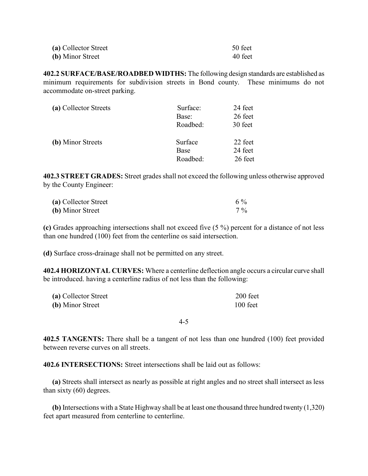| (a) Collector Street | 50 feet |
|----------------------|---------|
| (b) Minor Street     | 40 feet |

402.2 SURFACE/BASE/ROADBED WIDTHS: The following design standards are established as minimum requirements for subdivision streets in Bond county. These minimums do not accommodate on-street parking.

| (a) Collector Streets | Surface:<br>Base:<br>Roadbed: | 24 feet<br>26 feet<br>30 feet |
|-----------------------|-------------------------------|-------------------------------|
| (b) Minor Streets     | Surface<br>Base<br>Roadbed:   | 22 feet<br>24 feet<br>26 feet |

402.3 STREET GRADES: Street grades shall not exceed the following unless otherwise approved by the County Engineer:

| (a) Collector Street | $6\%$ |
|----------------------|-------|
| (b) Minor Street     | $7\%$ |

(c) Grades approaching intersections shall not exceed five (5 %) percent for a distance of not less than one hundred (100) feet from the centerline os said intersection.

(d) Surface cross-drainage shall not be permitted on any street.

402.4 HORIZONTAL CURVES: Where a centerline deflection angle occurs a circular curve shall be introduced. having a centerline radius of not less than the following:

| (a) Collector Street | 200 feet |
|----------------------|----------|
| (b) Minor Street     | 100 feet |

4-5

402.5 TANGENTS: There shall be a tangent of not less than one hundred (100) feet provided between reverse curves on all streets.

402.6 INTERSECTIONS: Street intersections shall be laid out as follows:

 (a) Streets shall intersect as nearly as possible at right angles and no street shall intersect as less than sixty (60) degrees.

 (b) Intersections with a State Highway shall be at least one thousand three hundred twenty (1,320) feet apart measured from centerline to centerline.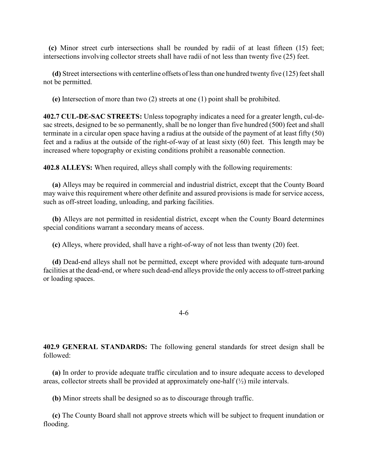(c) Minor street curb intersections shall be rounded by radii of at least fifteen (15) feet; intersections involving collector streets shall have radii of not less than twenty five (25) feet.

 (d) Street intersections with centerline offsets of less than one hundred twenty five (125) feet shall not be permitted.

(e) Intersection of more than two (2) streets at one (1) point shall be prohibited.

402.7 CUL-DE-SAC STREETS: Unless topography indicates a need for a greater length, cul-desac streets, designed to be so permanently, shall be no longer than five hundred (500) feet and shall terminate in a circular open space having a radius at the outside of the payment of at least fifty (50) feet and a radius at the outside of the right-of-way of at least sixty (60) feet. This length may be increased where topography or existing conditions prohibit a reasonable connection.

402.8 ALLEYS: When required, alleys shall comply with the following requirements:

 (a) Alleys may be required in commercial and industrial district, except that the County Board may waive this requirement where other definite and assured provisions is made for service access, such as off-street loading, unloading, and parking facilities.

 (b) Alleys are not permitted in residential district, except when the County Board determines special conditions warrant a secondary means of access.

(c) Alleys, where provided, shall have a right-of-way of not less than twenty (20) feet.

 (d) Dead-end alleys shall not be permitted, except where provided with adequate turn-around facilities at the dead-end, or where such dead-end alleys provide the only access to off-street parking or loading spaces.

4-6

402.9 GENERAL STANDARDS: The following general standards for street design shall be followed:

 (a) In order to provide adequate traffic circulation and to insure adequate access to developed areas, collector streets shall be provided at approximately one-half  $(\frac{1}{2})$  mile intervals.

(b) Minor streets shall be designed so as to discourage through traffic.

 (c) The County Board shall not approve streets which will be subject to frequent inundation or flooding.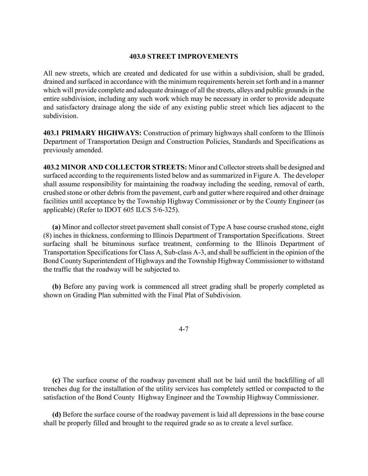#### 403.0 STREET IMPROVEMENTS

All new streets, which are created and dedicated for use within a subdivision, shall be graded, drained and surfaced in accordance with the minimum requirements herein set forth and in a manner which will provide complete and adequate drainage of all the streets, alleys and public grounds in the entire subdivision, including any such work which may be necessary in order to provide adequate and satisfactory drainage along the side of any existing public street which lies adjacent to the subdivision.

403.1 PRIMARY HIGHWAYS: Construction of primary highways shall conform to the Illinois Department of Transportation Design and Construction Policies, Standards and Specifications as previously amended.

403.2 MINOR AND COLLECTOR STREETS: Minor and Collector streets shall be designed and surfaced according to the requirements listed below and as summarized in Figure A. The developer shall assume responsibility for maintaining the roadway including the seeding, removal of earth, crushed stone or other debris from the pavement, curb and gutter where required and other drainage facilities until acceptance by the Township Highway Commissioner or by the County Engineer (as applicable) (Refer to IDOT 605 ILCS 5/6-325).

 (a) Minor and collector street pavement shall consist of Type A base course crushed stone, eight (8) inches in thickness, conforming to Illinois Department of Transportation Specifications. Street surfacing shall be bituminous surface treatment, conforming to the Illinois Department of Transportation Specifications for Class A, Sub-class A-3, and shall be sufficient in the opinion of the Bond County Superintendent of Highways and the Township Highway Commissioner to withstand the traffic that the roadway will be subjected to.

 (b) Before any paving work is commenced all street grading shall be properly completed as shown on Grading Plan submitted with the Final Plat of Subdivision.

4-7

 (c) The surface course of the roadway pavement shall not be laid until the backfilling of all trenches dug for the installation of the utility services has completely settled or compacted to the satisfaction of the Bond County Highway Engineer and the Township Highway Commissioner.

 (d) Before the surface course of the roadway pavement is laid all depressions in the base course shall be properly filled and brought to the required grade so as to create a level surface.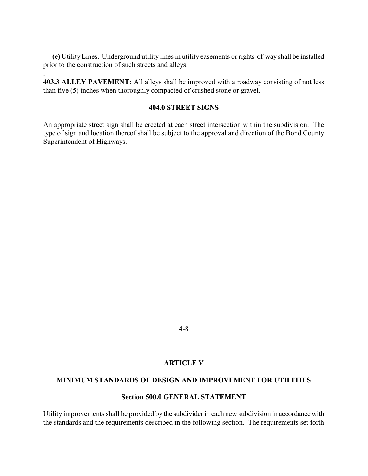(e) Utility Lines. Underground utility lines in utility easements or rights-of-way shall be installed prior to the construction of such streets and alleys.

403.3 ALLEY PAVEMENT: All alleys shall be improved with a roadway consisting of not less than five (5) inches when thoroughly compacted of crushed stone or gravel.

.

#### 404.0 STREET SIGNS

An appropriate street sign shall be erected at each street intersection within the subdivision. The type of sign and location thereof shall be subject to the approval and direction of the Bond County Superintendent of Highways.

4-8

#### ARTICLE V

#### MINIMUM STANDARDS OF DESIGN AND IMPROVEMENT FOR UTILITIES

#### Section 500.0 GENERAL STATEMENT

Utility improvements shall be provided by the subdivider in each new subdivision in accordance with the standards and the requirements described in the following section. The requirements set forth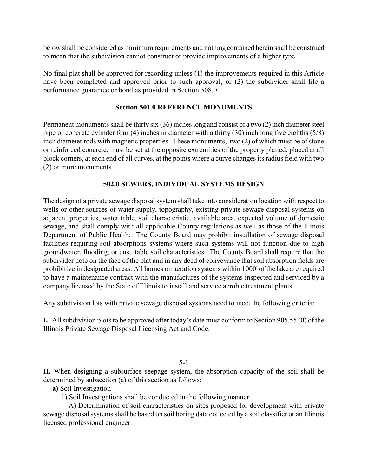below shall be considered as minimum requirements and nothing contained herein shall be construed to mean that the subdivision cannot construct or provide improvements of a higher type.

No final plat shall be approved for recording unless (1) the improvements required in this Article have been completed and approved prior to such approval, or (2) the subdivider shall file a performance guarantee or bond as provided in Section 508.0.

#### Section 501.0 REFERENCE MONUMENTS

Permanent monuments shall be thirty six (36) inches long and consist of a two (2) inch diameter steel pipe or concrete cylinder four (4) inches in diameter with a thirty (30) inch long five eighths (5/8) inch diameter rods with magnetic properties. These monuments, two (2) of which must be of stone or reinforced concrete, must be set at the opposite extremities of the property platted, placed at all block corners, at each end of all curves, at the points where a curve changes its radius field with two (2) or more monuments.

#### 502.0 SEWERS, INDIVIDUAL SYSTEMS DESIGN

The design of a private sewage disposal system shall take into consideration location with respect to wells or other sources of water supply, topography, existing private sewage disposal systems on adjacent properties, water table, soil characteristic, available area, expected volume of domestic sewage, and shall comply with all applicable County regulations as well as those of the Illinois Department of Public Health. The County Board may prohibit installation of sewage disposal facilities requiring soil absorptions systems where such systems will not function due to high groundwater, flooding, or unsuitable soil characteristics. The County Board shall require that the subdivider note on the face of the plat and in any deed of conveyance that soil absorption fields are prohibitive in designated areas. All homes on aeration systems within 1000' of the lake are required to have a maintenance contract with the manufactures of the systems inspected and serviced by a company licensed by the State of Illinois to install and service aerobic treatment plants..

Any subdivision lots with private sewage disposal systems need to meet the following criteria:

I. All subdivision plots to be approved after today's date must conform to Section 905.55 (0) of the Illinois Private Sewage Disposal Licensing Act and Code.

5-1

II. When designing a subsurface seepage system, the absorption capacity of the soil shall be determined by subsection (a) of this section as follows:

#### a) Soil Investigation

1) Soil Investigations shall be conducted in the following manner:

 A) Determination of soil characteristics on sites proposed for development with private sewage disposal systems shall be based on soil boring data collected by a soil classifier or an Illinois licensed professional engineer.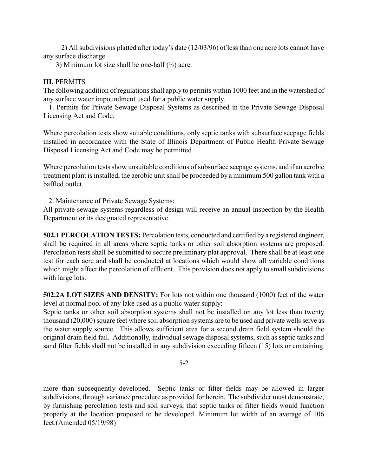2) All subdivisions platted after today's date (12/03/96) of less than one acre lots cannot have any surface discharge.

3) Minimum lot size shall be one-half  $(\frac{1}{2})$  acre.

#### III. PERMITS

The following addition of regulations shall apply to permits within 1000 feet and in the watershed of any surface water impoundment used for a public water supply.

 1. Permits for Private Sewage Disposal Systems as described in the Private Sewage Disposal Licensing Act and Code.

Where percolation tests show suitable conditions, only septic tanks with subsurface seepage fields installed in accordance with the State of Illinois Department of Public Health Private Sewage Disposal Licensing Act and Code may be permitted

Where percolation tests show unsuitable conditions of subsurface seepage systems, and if an aerobic treatment plant is installed, the aerobic unit shall be proceeded by a minimum 500 gallon tank with a baffled outlet.

2. Maintenance of Private Sewage Systems:

All private sewage systems regardless of design will receive an annual inspection by the Health Department or its designated representative.

502.1 PERCOLATION TESTS: Percolation tests, conducted and certified by a registered engineer, shall be required in all areas where septic tanks or other soil absorption systems are proposed. Percolation tests shall be submitted to secure preliminary plat approval. There shall be at least one test for each acre and shall be conducted at locations which would show all variable conditions which might affect the percolation of effluent. This provision does not apply to small subdivisions with large lots.

502.2A LOT SIZES AND DENSITY: For lots not within one thousand (1000) feet of the water level at normal pool of any lake used as a public water supply:

Septic tanks or other soil absorption systems shall not be installed on any lot less than twenty thousand (20,000) square feet where soil absorption systems are to be used and private wells serve as the water supply source. This allows sufficient area for a second drain field system should the original drain field fail. Additionally, individual sewage disposal systems, such as septic tanks and sand filter fields shall not be installed in any subdivision exceeding fifteen (15) lots or containing

5-2

more than subsequently developed. Septic tanks or filter fields may be allowed in larger subdivisions, through variance procedure as provided for herein. The subdivider must demonstrate, by furnishing percolation tests and soil surveys, that septic tanks or filter fields would function properly at the location proposed to be developed. Minimum lot width of an average of 106 feet.(Amended 05/19/98)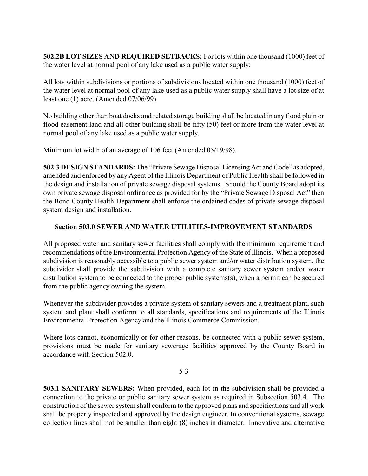502.2B LOT SIZES AND REQUIRED SETBACKS: For lots within one thousand (1000) feet of the water level at normal pool of any lake used as a public water supply:

All lots within subdivisions or portions of subdivisions located within one thousand (1000) feet of the water level at normal pool of any lake used as a public water supply shall have a lot size of at least one (1) acre. (Amended 07/06/99)

No building other than boat docks and related storage building shall be located in any flood plain or flood easement land and all other building shall be fifty (50) feet or more from the water level at normal pool of any lake used as a public water supply.

Minimum lot width of an average of 106 feet (Amended 05/19/98).

502.3 DESIGN STANDARDS: The "Private Sewage Disposal Licensing Act and Code" as adopted, amended and enforced by any Agent of the Illinois Department of Public Health shall be followed in the design and installation of private sewage disposal systems. Should the County Board adopt its own private sewage disposal ordinance as provided for by the "Private Sewage Disposal Act" then the Bond County Health Department shall enforce the ordained codes of private sewage disposal system design and installation.

#### Section 503.0 SEWER AND WATER UTILITIES-IMPROVEMENT STANDARDS

All proposed water and sanitary sewer facilities shall comply with the minimum requirement and recommendations of the Environmental Protection Agency of the State of Illinois. When a proposed subdivision is reasonably accessible to a public sewer system and/or water distribution system, the subdivider shall provide the subdivision with a complete sanitary sewer system and/or water distribution system to be connected to the proper public systems(s), when a permit can be secured from the public agency owning the system.

Whenever the subdivider provides a private system of sanitary sewers and a treatment plant, such system and plant shall conform to all standards, specifications and requirements of the Illinois Environmental Protection Agency and the Illinois Commerce Commission.

Where lots cannot, economically or for other reasons, be connected with a public sewer system, provisions must be made for sanitary sewerage facilities approved by the County Board in accordance with Section 502.0.

#### 5-3

503.1 SANITARY SEWERS: When provided, each lot in the subdivision shall be provided a connection to the private or public sanitary sewer system as required in Subsection 503.4. The construction of the sewer system shall conform to the approved plans and specifications and all work shall be properly inspected and approved by the design engineer. In conventional systems, sewage collection lines shall not be smaller than eight (8) inches in diameter. Innovative and alternative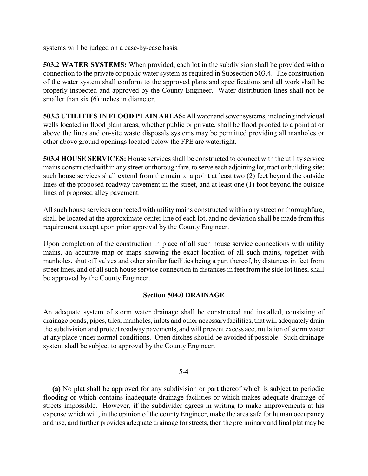systems will be judged on a case-by-case basis.

503.2 WATER SYSTEMS: When provided, each lot in the subdivision shall be provided with a connection to the private or public water system as required in Subsection 503.4. The construction of the water system shall conform to the approved plans and specifications and all work shall be properly inspected and approved by the County Engineer. Water distribution lines shall not be smaller than six (6) inches in diameter.

503.3 UTILITIES IN FLOOD PLAIN AREAS: All water and sewer systems, including individual wells located in flood plain areas, whether public or private, shall be flood proofed to a point at or above the lines and on-site waste disposals systems may be permitted providing all manholes or other above ground openings located below the FPE are watertight.

503.4 HOUSE SERVICES: House services shall be constructed to connect with the utility service mains constructed within any street or thoroughfare, to serve each adjoining lot, tract or building site; such house services shall extend from the main to a point at least two (2) feet beyond the outside lines of the proposed roadway pavement in the street, and at least one (1) foot beyond the outside lines of proposed alley pavement.

All such house services connected with utility mains constructed within any street or thoroughfare, shall be located at the approximate center line of each lot, and no deviation shall be made from this requirement except upon prior approval by the County Engineer.

Upon completion of the construction in place of all such house service connections with utility mains, an accurate map or maps showing the exact location of all such mains, together with manholes, shut off valves and other similar facilities being a part thereof, by distances in feet from street lines, and of all such house service connection in distances in feet from the side lot lines, shall be approved by the County Engineer.

#### Section 504.0 DRAINAGE

An adequate system of storm water drainage shall be constructed and installed, consisting of drainage ponds, pipes, tiles, manholes, inlets and other necessary facilities, that will adequately drain the subdivision and protect roadway pavements, and will prevent excess accumulation of storm water at any place under normal conditions. Open ditches should be avoided if possible. Such drainage system shall be subject to approval by the County Engineer.

#### 5-4

 (a) No plat shall be approved for any subdivision or part thereof which is subject to periodic flooding or which contains inadequate drainage facilities or which makes adequate drainage of streets impossible. However, if the subdivider agrees in writing to make improvements at his expense which will, in the opinion of the county Engineer, make the area safe for human occupancy and use, and further provides adequate drainage for streets, then the preliminary and final plat may be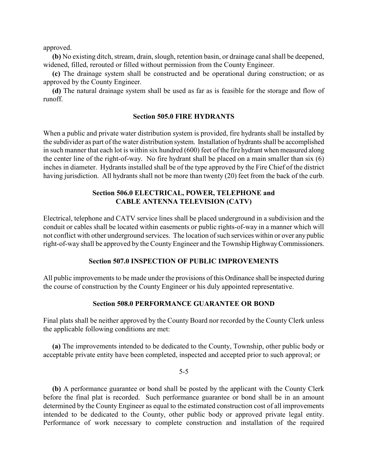approved.

 (b) No existing ditch, stream, drain, slough, retention basin, or drainage canal shall be deepened, widened, filled, rerouted or filled without permission from the County Engineer.

 (c) The drainage system shall be constructed and be operational during construction; or as approved by the County Engineer.

 (d) The natural drainage system shall be used as far as is feasible for the storage and flow of runoff.

#### Section 505.0 FIRE HYDRANTS

When a public and private water distribution system is provided, fire hydrants shall be installed by the subdivider as part of the water distribution system. Installation of hydrants shall be accomplished in such manner that each lot is within six hundred (600) feet of the fire hydrant when measured along the center line of the right-of-way. No fire hydrant shall be placed on a main smaller than six (6) inches in diameter. Hydrants installed shall be of the type approved by the Fire Chief of the district having jurisdiction. All hydrants shall not be more than twenty (20) feet from the back of the curb.

#### Section 506.0 ELECTRICAL, POWER, TELEPHONE and CABLE ANTENNA TELEVISION (CATV)

Electrical, telephone and CATV service lines shall be placed underground in a subdivision and the conduit or cables shall be located within easements or public rights-of-way in a manner which will not conflict with other underground services. The location of such services within or over any public right-of-way shall be approved by the County Engineer and the Township Highway Commissioners.

#### Section 507.0 INSPECTION OF PUBLIC IMPROVEMENTS

All public improvements to be made under the provisions of this Ordinance shall be inspected during the course of construction by the County Engineer or his duly appointed representative.

#### Section 508.0 PERFORMANCE GUARANTEE OR BOND

Final plats shall be neither approved by the County Board nor recorded by the County Clerk unless the applicable following conditions are met:

 (a) The improvements intended to be dedicated to the County, Township, other public body or acceptable private entity have been completed, inspected and accepted prior to such approval; or

5-5

 (b) A performance guarantee or bond shall be posted by the applicant with the County Clerk before the final plat is recorded. Such performance guarantee or bond shall be in an amount determined by the County Engineer as equal to the estimated construction cost of all improvements intended to be dedicated to the County, other public body or approved private legal entity. Performance of work necessary to complete construction and installation of the required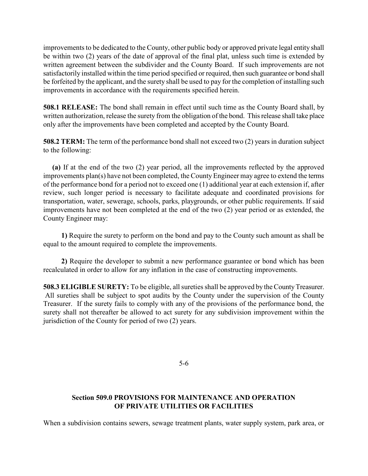improvements to be dedicated to the County, other public body or approved private legal entity shall be within two (2) years of the date of approval of the final plat, unless such time is extended by written agreement between the subdivider and the County Board. If such improvements are not satisfactorily installed within the time period specified or required, then such guarantee or bond shall be forfeited by the applicant, and the surety shall be used to pay for the completion of installing such improvements in accordance with the requirements specified herein.

508.1 RELEASE: The bond shall remain in effect until such time as the County Board shall, by written authorization, release the surety from the obligation of the bond. This release shall take place only after the improvements have been completed and accepted by the County Board.

508.2 TERM: The term of the performance bond shall not exceed two (2) years in duration subject to the following:

 (a) If at the end of the two (2) year period, all the improvements reflected by the approved improvements plan(s) have not been completed, the County Engineer may agree to extend the terms of the performance bond for a period not to exceed one (1) additional year at each extension if, after review, such longer period is necessary to facilitate adequate and coordinated provisions for transportation, water, sewerage, schools, parks, playgrounds, or other public requirements. If said improvements have not been completed at the end of the two (2) year period or as extended, the County Engineer may:

 1) Require the surety to perform on the bond and pay to the County such amount as shall be equal to the amount required to complete the improvements.

 2) Require the developer to submit a new performance guarantee or bond which has been recalculated in order to allow for any inflation in the case of constructing improvements.

508.3 ELIGIBLE SURETY: To be eligible, all sureties shall be approved by the County Treasurer. All sureties shall be subject to spot audits by the County under the supervision of the County Treasurer. If the surety fails to comply with any of the provisions of the performance bond, the surety shall not thereafter be allowed to act surety for any subdivision improvement within the jurisdiction of the County for period of two (2) years.

5-6

#### Section 509.0 PROVISIONS FOR MAINTENANCE AND OPERATION OF PRIVATE UTILITIES OR FACILITIES

When a subdivision contains sewers, sewage treatment plants, water supply system, park area, or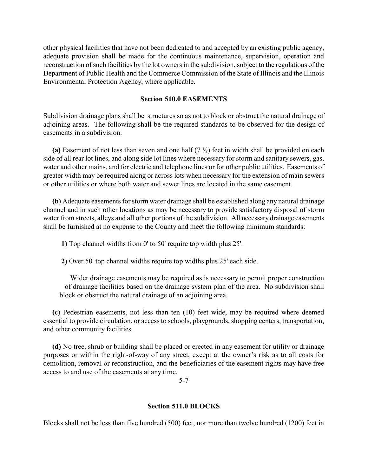other physical facilities that have not been dedicated to and accepted by an existing public agency, adequate provision shall be made for the continuous maintenance, supervision, operation and reconstruction of such facilities by the lot owners in the subdivision, subject to the regulations of the Department of Public Health and the Commerce Commission of the State of Illinois and the Illinois Environmental Protection Agency, where applicable.

#### Section 510.0 EASEMENTS

Subdivision drainage plans shall be structures so as not to block or obstruct the natural drainage of adjoining areas. The following shall be the required standards to be observed for the design of easements in a subdivision.

(a) Easement of not less than seven and one half  $(7 \frac{1}{2})$  feet in width shall be provided on each side of all rear lot lines, and along side lot lines where necessary for storm and sanitary sewers, gas, water and other mains, and for electric and telephone lines or for other public utilities. Easements of greater width may be required along or across lots when necessary for the extension of main sewers or other utilities or where both water and sewer lines are located in the same easement.

 (b) Adequate easements for storm water drainage shall be established along any natural drainage channel and in such other locations as may be necessary to provide satisfactory disposal of storm water from streets, alleys and all other portions of the subdivision. All necessary drainage easements shall be furnished at no expense to the County and meet the following minimum standards:

1) Top channel widths from 0' to 50' require top width plus 25'.

2) Over 50' top channel widths require top widths plus 25' each side.

 Wider drainage easements may be required as is necessary to permit proper construction of drainage facilities based on the drainage system plan of the area. No subdivision shall block or obstruct the natural drainage of an adjoining area.

 (c) Pedestrian easements, not less than ten (10) feet wide, may be required where deemed essential to provide circulation, or access to schools, playgrounds, shopping centers, transportation, and other community facilities.

 (d) No tree, shrub or building shall be placed or erected in any easement for utility or drainage purposes or within the right-of-way of any street, except at the owner's risk as to all costs for demolition, removal or reconstruction, and the beneficiaries of the easement rights may have free access to and use of the easements at any time.

5-7

#### Section 511.0 BLOCKS

Blocks shall not be less than five hundred (500) feet, nor more than twelve hundred (1200) feet in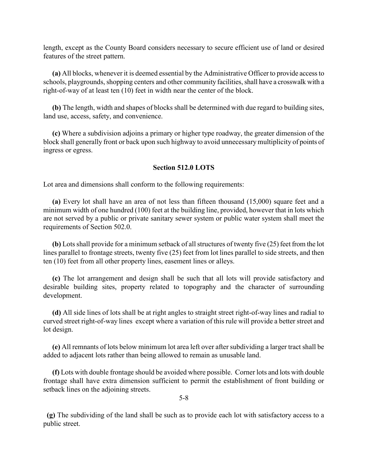length, except as the County Board considers necessary to secure efficient use of land or desired features of the street pattern.

 (a) All blocks, whenever it is deemed essential by the Administrative Officer to provide access to schools, playgrounds, shopping centers and other community facilities, shall have a crosswalk with a right-of-way of at least ten (10) feet in width near the center of the block.

 (b) The length, width and shapes of blocks shall be determined with due regard to building sites, land use, access, safety, and convenience.

 (c) Where a subdivision adjoins a primary or higher type roadway, the greater dimension of the block shall generally front or back upon such highway to avoid unnecessary multiplicity of points of ingress or egress.

#### Section 512.0 LOTS

Lot area and dimensions shall conform to the following requirements:

 (a) Every lot shall have an area of not less than fifteen thousand (15,000) square feet and a minimum width of one hundred (100) feet at the building line, provided, however that in lots which are not served by a public or private sanitary sewer system or public water system shall meet the requirements of Section 502.0.

 (b) Lots shall provide for a minimum setback of all structures of twenty five (25) feet from the lot lines parallel to frontage streets, twenty five (25) feet from lot lines parallel to side streets, and then ten (10) feet from all other property lines, easement lines or alleys.

 (c) The lot arrangement and design shall be such that all lots will provide satisfactory and desirable building sites, property related to topography and the character of surrounding development.

 (d) All side lines of lots shall be at right angles to straight street right-of-way lines and radial to curved street right-of-way lines except where a variation of this rule will provide a better street and lot design.

 (e) All remnants of lots below minimum lot area left over after subdividing a larger tract shall be added to adjacent lots rather than being allowed to remain as unusable land.

 (f) Lots with double frontage should be avoided where possible. Corner lots and lots with double frontage shall have extra dimension sufficient to permit the establishment of front building or setback lines on the adjoining streets.

 (g) The subdividing of the land shall be such as to provide each lot with satisfactory access to a public street.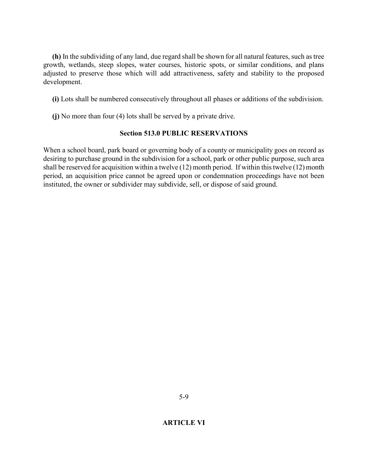(h) In the subdividing of any land, due regard shall be shown for all natural features, such as tree growth, wetlands, steep slopes, water courses, historic spots, or similar conditions, and plans adjusted to preserve those which will add attractiveness, safety and stability to the proposed development.

- (i) Lots shall be numbered consecutively throughout all phases or additions of the subdivision.
- (j) No more than four (4) lots shall be served by a private drive.

#### Section 513.0 PUBLIC RESERVATIONS

When a school board, park board or governing body of a county or municipality goes on record as desiring to purchase ground in the subdivision for a school, park or other public purpose, such area shall be reserved for acquisition within a twelve (12) month period. If within this twelve (12) month period, an acquisition price cannot be agreed upon or condemnation proceedings have not been instituted, the owner or subdivider may subdivide, sell, or dispose of said ground.

#### ARTICLE VI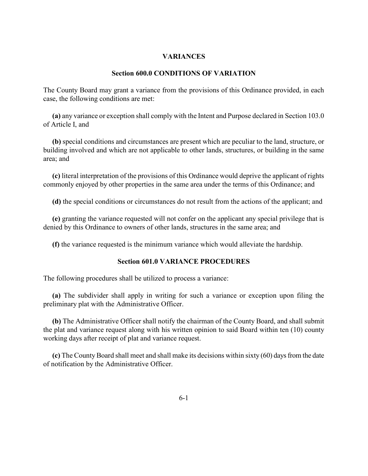#### VARIANCES

#### Section 600.0 CONDITIONS OF VARIATION

The County Board may grant a variance from the provisions of this Ordinance provided, in each case, the following conditions are met:

 (a) any variance or exception shall comply with the Intent and Purpose declared in Section 103.0 of Article I, and

 (b) special conditions and circumstances are present which are peculiar to the land, structure, or building involved and which are not applicable to other lands, structures, or building in the same area; and

 (c) literal interpretation of the provisions of this Ordinance would deprive the applicant of rights commonly enjoyed by other properties in the same area under the terms of this Ordinance; and

(d) the special conditions or circumstances do not result from the actions of the applicant; and

 (e) granting the variance requested will not confer on the applicant any special privilege that is denied by this Ordinance to owners of other lands, structures in the same area; and

(f) the variance requested is the minimum variance which would alleviate the hardship.

#### Section 601.0 VARIANCE PROCEDURES

The following procedures shall be utilized to process a variance:

 (a) The subdivider shall apply in writing for such a variance or exception upon filing the preliminary plat with the Administrative Officer.

 (b) The Administrative Officer shall notify the chairman of the County Board, and shall submit the plat and variance request along with his written opinion to said Board within ten (10) county working days after receipt of plat and variance request.

 (c) The County Board shall meet and shall make its decisions within sixty (60) days from the date of notification by the Administrative Officer.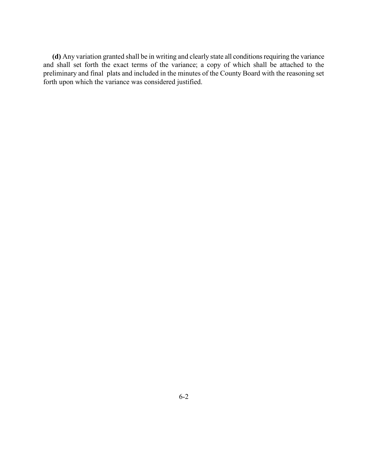(d) Any variation granted shall be in writing and clearly state all conditions requiring the variance and shall set forth the exact terms of the variance; a copy of which shall be attached to the preliminary and final plats and included in the minutes of the County Board with the reasoning set forth upon which the variance was considered justified.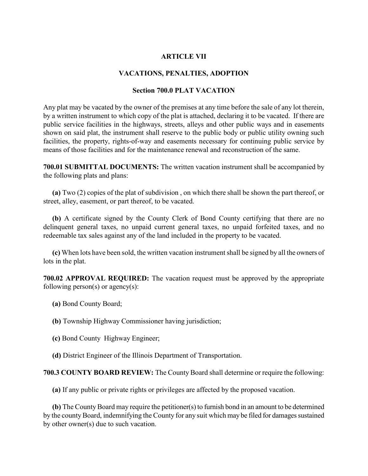#### ARTICLE VII

#### VACATIONS, PENALTIES, ADOPTION

#### Section 700.0 PLAT VACATION

Any plat may be vacated by the owner of the premises at any time before the sale of any lot therein, by a written instrument to which copy of the plat is attached, declaring it to be vacated. If there are public service facilities in the highways, streets, alleys and other public ways and in easements shown on said plat, the instrument shall reserve to the public body or public utility owning such facilities, the property, rights-of-way and easements necessary for continuing public service by means of those facilities and for the maintenance renewal and reconstruction of the same.

700.01 SUBMITTAL DOCUMENTS: The written vacation instrument shall be accompanied by the following plats and plans:

 (a) Two (2) copies of the plat of subdivision , on which there shall be shown the part thereof, or street, alley, easement, or part thereof, to be vacated.

 (b) A certificate signed by the County Clerk of Bond County certifying that there are no delinquent general taxes, no unpaid current general taxes, no unpaid forfeited taxes, and no redeemable tax sales against any of the land included in the property to be vacated.

 (c) When lots have been sold, the written vacation instrument shall be signed by all the owners of lots in the plat.

700.02 APPROVAL REQUIRED: The vacation request must be approved by the appropriate following person(s) or agency(s):

- (a) Bond County Board;
- (b) Township Highway Commissioner having jurisdiction;
- (c) Bond County Highway Engineer;
- (d) District Engineer of the Illinois Department of Transportation.

#### 700.3 COUNTY BOARD REVIEW: The County Board shall determine or require the following:

(a) If any public or private rights or privileges are affected by the proposed vacation.

 (b) The County Board may require the petitioner(s) to furnish bond in an amount to be determined by the county Board, indemnifying the County for any suit which may be filed for damages sustained by other owner(s) due to such vacation.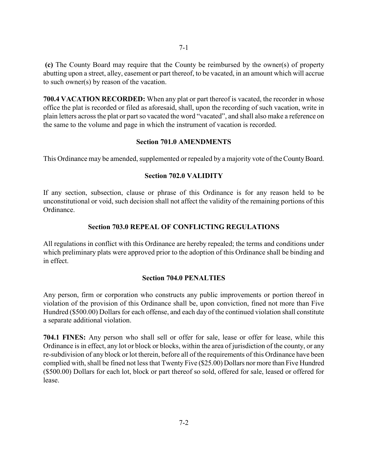(c) The County Board may require that the County be reimbursed by the owner(s) of property abutting upon a street, alley, easement or part thereof, to be vacated, in an amount which will accrue to such owner(s) by reason of the vacation.

700.4 VACATION RECORDED: When any plat or part thereof is vacated, the recorder in whose office the plat is recorded or filed as aforesaid, shall, upon the recording of such vacation, write in plain letters across the plat or part so vacated the word "vacated", and shall also make a reference on the same to the volume and page in which the instrument of vacation is recorded.

#### Section 701.0 AMENDMENTS

This Ordinance may be amended, supplemented or repealed by a majority vote of the County Board.

#### Section 702.0 VALIDITY

If any section, subsection, clause or phrase of this Ordinance is for any reason held to be unconstitutional or void, such decision shall not affect the validity of the remaining portions of this Ordinance.

#### Section 703.0 REPEAL OF CONFLICTING REGULATIONS

All regulations in conflict with this Ordinance are hereby repealed; the terms and conditions under which preliminary plats were approved prior to the adoption of this Ordinance shall be binding and in effect.

#### Section 704.0 PENALTIES

Any person, firm or corporation who constructs any public improvements or portion thereof in violation of the provision of this Ordinance shall be, upon conviction, fined not more than Five Hundred (\$500.00) Dollars for each offense, and each day of the continued violation shall constitute a separate additional violation.

704.1 FINES: Any person who shall sell or offer for sale, lease or offer for lease, while this Ordinance is in effect, any lot or block or blocks, within the area of jurisdiction of the county, or any re-subdivision of any block or lot therein, before all of the requirements of this Ordinance have been complied with, shall be fined not less that Twenty Five (\$25.00) Dollars nor more than Five Hundred (\$500.00) Dollars for each lot, block or part thereof so sold, offered for sale, leased or offered for lease.